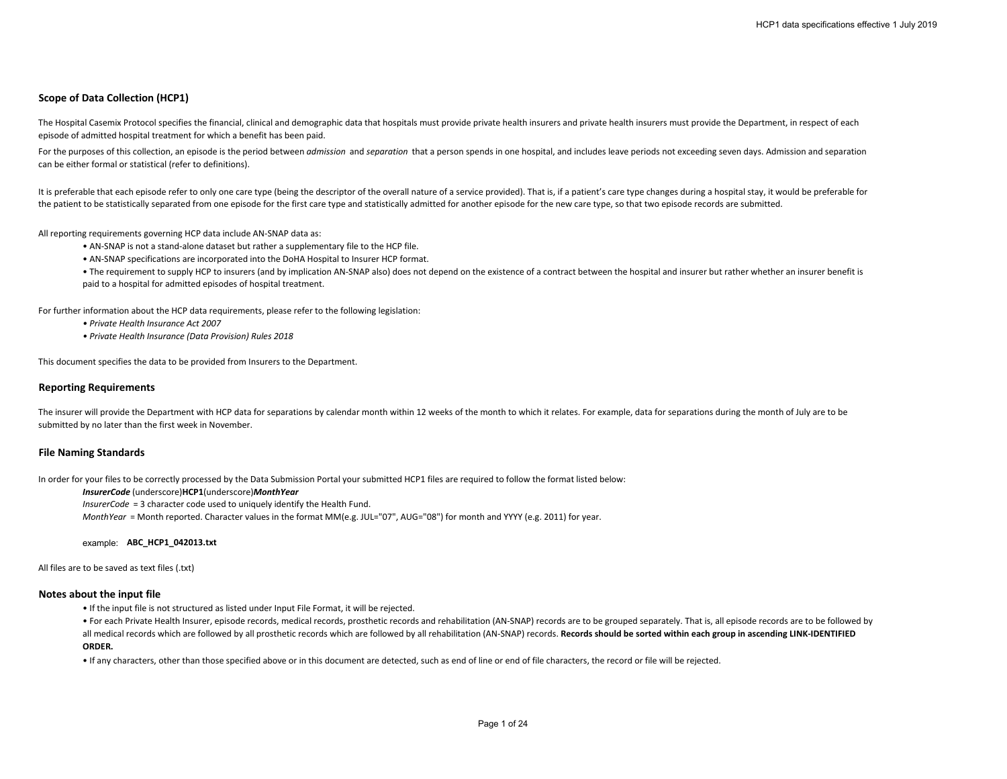# **Scope of Data Collection (HCP1)**

The Hospital Casemix Protocol specifies the financial, clinical and demographic data that hospitals must provide private health insurers and private health insurers must provide the Department, in respect of each episode of admitted hospital treatment for which a benefit has been paid.

For the purposes of this collection, an episode is the period between *admission* and *separation* that a person spends in one hospital, and includes leave periods not exceeding seven days. Admission and separation can be either formal or statistical (refer to definitions).

It is preferable that each episode refer to only one care type (being the descriptor of the overall nature of a service provided). That is, if a patient's care type changes during a hospital stay, it would be preferable fo the patient to be statistically separated from one episode for the first care type and statistically admitted for another episode for the new care type, so that two episode records are submitted.

All reporting requirements governing HCP data include AN-SNAP data as:

- AN-SNAP is not a stand-alone dataset but rather a supplementary file to the HCP file.
- AN-SNAP specifications are incorporated into the DoHA Hospital to Insurer HCP format.

• The requirement to supply HCP to insurers (and by implication AN-SNAP also) does not depend on the existence of a contract between the hospital and insurer but rather whether an insurer benefit is paid to a hospital for admitted episodes of hospital treatment.

For further information about the HCP data requirements, please refer to the following legislation:

- *Private Health Insurance Act 2007*
- *Private Health Insurance (Data Provision) Rules 2018*

This document specifies the data to be provided from Insurers to the Department.

#### **Reporting Requirements**

The insurer will provide the Department with HCP data for separations by calendar month within 12 weeks of the month to which it relates. For example, data for separations during the month of July are to be submitted by no later than the first week in November.

#### **File Naming Standards**

In order for your files to be correctly processed by the Data Submission Portal your submitted HCP1 files are required to follow the format listed below:

#### *InsurerCode* (underscore)**HCP1**(underscore)*MonthYear*

*InsurerCode* = 3 character code used to uniquely identify the Health Fund.

*MonthYear* = Month reported. Character values in the format MM(e.g. JUL="07", AUG="08") for month and YYYY (e.g. 2011) for year.

example: **ABC\_HCP1\_042013.txt**

#### All files are to be saved as text files (.txt)

#### **Notes about the input file**

• If the input file is not structured as listed under Input File Format, it will be rejected.

• For each Private Health Insurer, episode records, medical records, prosthetic records and rehabilitation (AN-SNAP) records are to be grouped separately. That is, all episode records are to be followed by all medical records which are followed by all prosthetic records which are followed by all rehabilitation (AN-SNAP) records. **Records should be sorted within each group in ascending LINK-IDENTIFIED** 

#### **ORDER.**

• If any characters, other than those specified above or in this document are detected, such as end of line or end of file characters, the record or file will be rejected.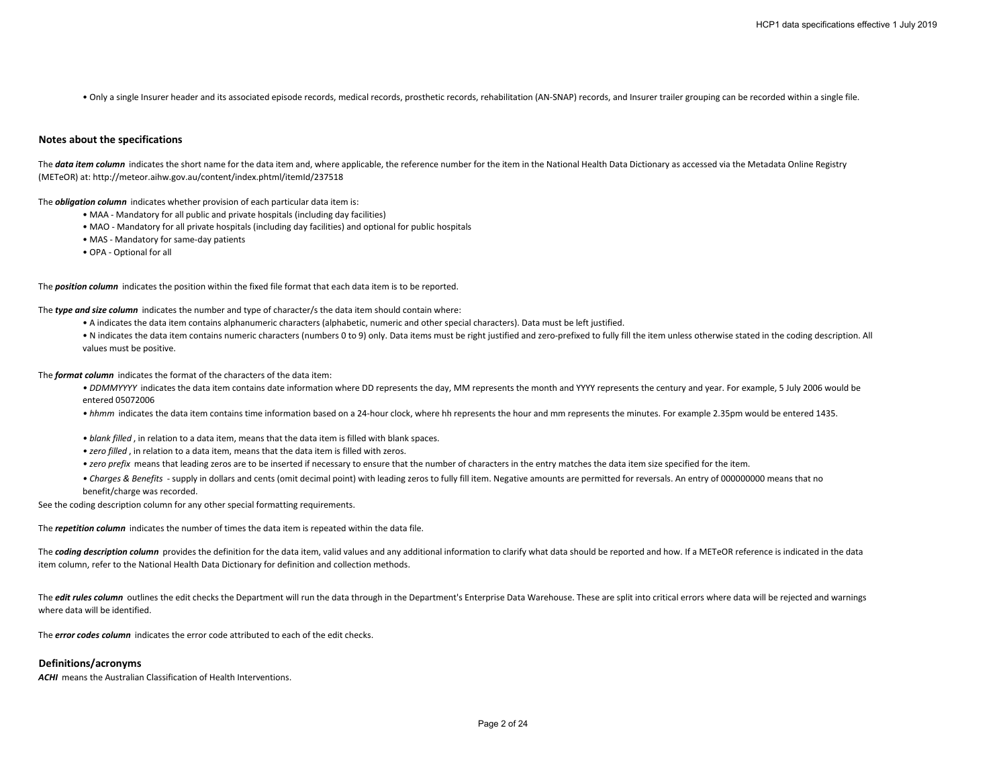• Only a single Insurer header and its associated episode records, medical records, prosthetic records, rehabilitation (AN-SNAP) records, and Insurer trailer grouping can be recorded within a single file.

## **Notes about the specifications**

The **data item column** indicates the short name for the data item and, where applicable, the reference number for the item in the National Health Data Dictionary as accessed via the Metadata Online Registry (METeOR) at: http://meteor.aihw.gov.au/content/index.phtml/itemId/237518

The *obligation column* indicates whether provision of each particular data item is:

- MAA Mandatory for all public and private hospitals (including day facilities)
- MAO Mandatory for all private hospitals (including day facilities) and optional for public hospitals
- MAS Mandatory for same-day patients
- OPA Optional for all

The *position column* indicates the position within the fixed file format that each data item is to be reported.

The *type and size column* indicates the number and type of character/s the data item should contain where:

- A indicates the data item contains alphanumeric characters (alphabetic, numeric and other special characters). Data must be left justified.
- N indicates the data item contains numeric characters (numbers 0 to 9) only. Data items must be right justified and zero-prefixed to fully fill the item unless otherwise stated in the coding description. All values must be positive.

The *format column* indicates the format of the characters of the data item:

- DDMMYYYY indicates the data item contains date information where DD represents the day, MM represents the month and YYYY represents the century and year. For example, 5 July 2006 would be entered 05072006
- *hhmm* indicates the data item contains time information based on a 24-hour clock, where hh represents the hour and mm represents the minutes. For example 2.35pm would be entered 1435.
- *blank filled* , in relation to a data item, means that the data item is filled with blank spaces.
- *zero filled* , in relation to a data item, means that the data item is filled with zeros.
- *zero prefix* means that leading zeros are to be inserted if necessary to ensure that the number of characters in the entry matches the data item size specified for the item.
- *Charges & Benefits*  supply in dollars and cents (omit decimal point) with leading zeros to fully fill item. Negative amounts are permitted for reversals. An entry of 000000000 means that no benefit/charge was recorded.

See the coding description column for any other special formatting requirements.

The *repetition column* indicates the number of times the data item is repeated within the data file.

The **coding description column** provides the definition for the data item, valid values and any additional information to clarify what data should be reported and how. If a METeOR reference is indicated in the data item column, refer to the National Health Data Dictionary for definition and collection methods.

The *edit rules column* outlines the edit checks the Department will run the data through in the Department's Enterprise Data Warehouse. These are split into critical errors where data will be rejected and warnings where data will be identified.

The *error codes column* indicates the error code attributed to each of the edit checks.

# **Definitions/acronyms**

**ACHI** means the Australian Classification of Health Interventions.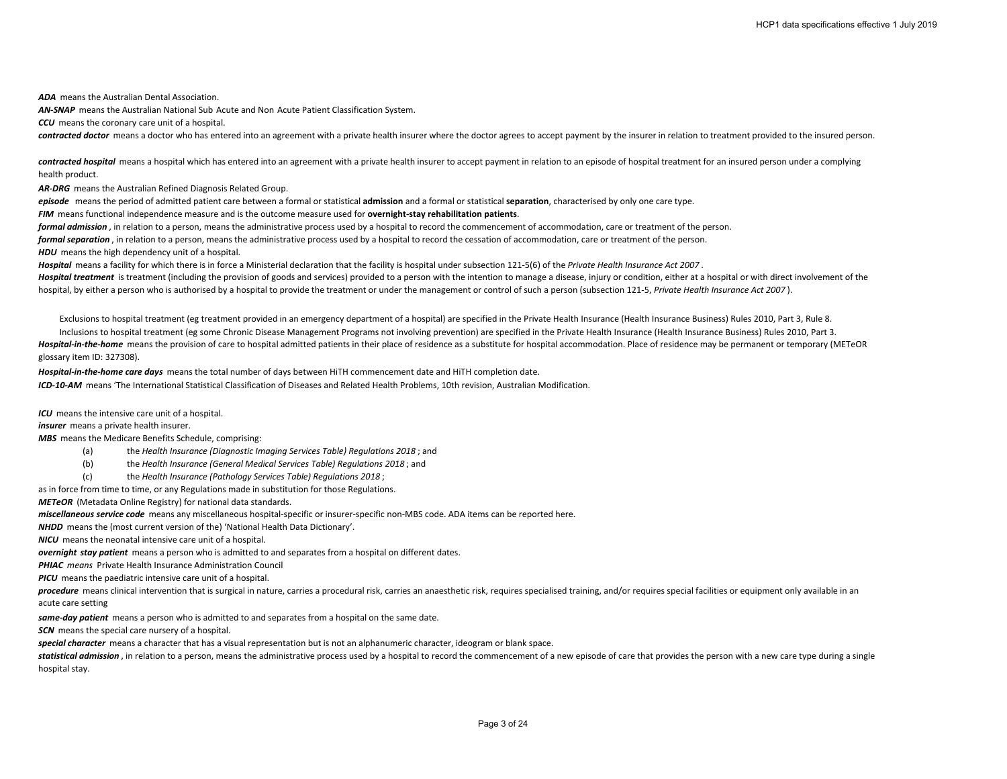*ADA* means the Australian Dental Association.

*AN-SNAP* means the Australian National Sub Acute and Non Acute Patient Classification System.

*CCU* means the coronary care unit of a hospital.

**contracted doctor** means a doctor who has entered into an agreement with a private health insurer where the doctor agrees to accept payment by the insurer in relation to treatment provided to the insured person.

contracted hospital means a hospital which has entered into an agreement with a private health insurer to accept payment in relation to an episode of hospital treatment for an insured person under a complying health product.

*AR-DRG* means the Australian Refined Diagnosis Related Group.

*episode* means the period of admitted patient care between a formal or statistical **admission** and a formal or statistical **separation**, characterised by only one care type.

*FIM* means functional independence measure and is the outcome measure used for **overnight-stay rehabilitation patients**.

*formal admission* , in relation to a person, means the administrative process used by a hospital to record the commencement of accommodation, care or treatment of the person.

*formal separation* , in relation to a person, means the administrative process used by a hospital to record the cessation of accommodation, care or treatment of the person.

*HDU* means the high dependency unit of a hospital.

*Hospital* means a facility for which there is in force a Ministerial declaration that the facility is hospital under subsection 121-5(6) of the *Private Health Insurance Act 2007* .

Hospital treatment is treatment (including the provision of goods and services) provided to a person with the intention to manage a disease, injury or condition, either at a hospital or with direct involvement of the hospital, by either a person who is authorised by a hospital to provide the treatment or under the management or control of such a person (subsection 121-5, *Private Health Insurance Act 2007* ).

Exclusions to hospital treatment (eg treatment provided in an emergency department of a hospital) are specified in the Private Health Insurance (Health Insurance Business) Rules 2010, Part 3, Rule 8.

Inclusions to hospital treatment (eg some Chronic Disease Management Programs not involving prevention) are specified in the Private Health Insurance (Health Insurance Business) Rules 2010, Part 3. Hospital-in-the-home means the provision of care to hospital admitted patients in their place of residence as a substitute for hospital accommodation. Place of residence may be permanent or temporary (METeOR glossary item ID: 327308).

*Hospital-in-the-home care days* means the total number of days between HiTH commencement date and HiTH completion date.

*ICD-10-AM* means 'The International Statistical Classification of Diseases and Related Health Problems, 10th revision, Australian Modification.

*ICU* means the intensive care unit of a hospital.

*insurer* means a private health insurer.

*MBS* means the Medicare Benefits Schedule, comprising:

- (a) the *Health Insurance (Diagnostic Imaging Services Table) Regulations 2018* ; and
- (b) the *Health Insurance (General Medical Services Table) Regulations 2018* ; and
- (c) the *Health Insurance (Pathology Services Table) Regulations 2018* ;

as in force from time to time, or any Regulations made in substitution for those Regulations.

*METeOR* (Metadata Online Registry) for national data standards.

*miscellaneous service code* means any miscellaneous hospital-specific or insurer-specific non-MBS code. ADA items can be reported here.

*NHDD* means the (most current version of the) 'National Health Data Dictionary'.

*NICU* means the neonatal intensive care unit of a hospital.

*overnight stay patient* means a person who is admitted to and separates from a hospital on different dates.

*PHIAC means* Private Health Insurance Administration Council

*PICU* means the paediatric intensive care unit of a hospital.

procedure means clinical intervention that is surgical in nature, carries a procedural risk, carries an anaesthetic risk, requires specialised training, and/or requires special facilities or equipment only available in an acute care setting

*same-day patient* means a person who is admitted to and separates from a hospital on the same date.

**SCN** means the special care nursery of a hospital.

*special character* means a character that has a visual representation but is not an alphanumeric character, ideogram or blank space.

statistical admission, in relation to a person, means the administrative process used by a hospital to record the commencement of a new episode of care that provides the person with a new care type during a single hospital stay.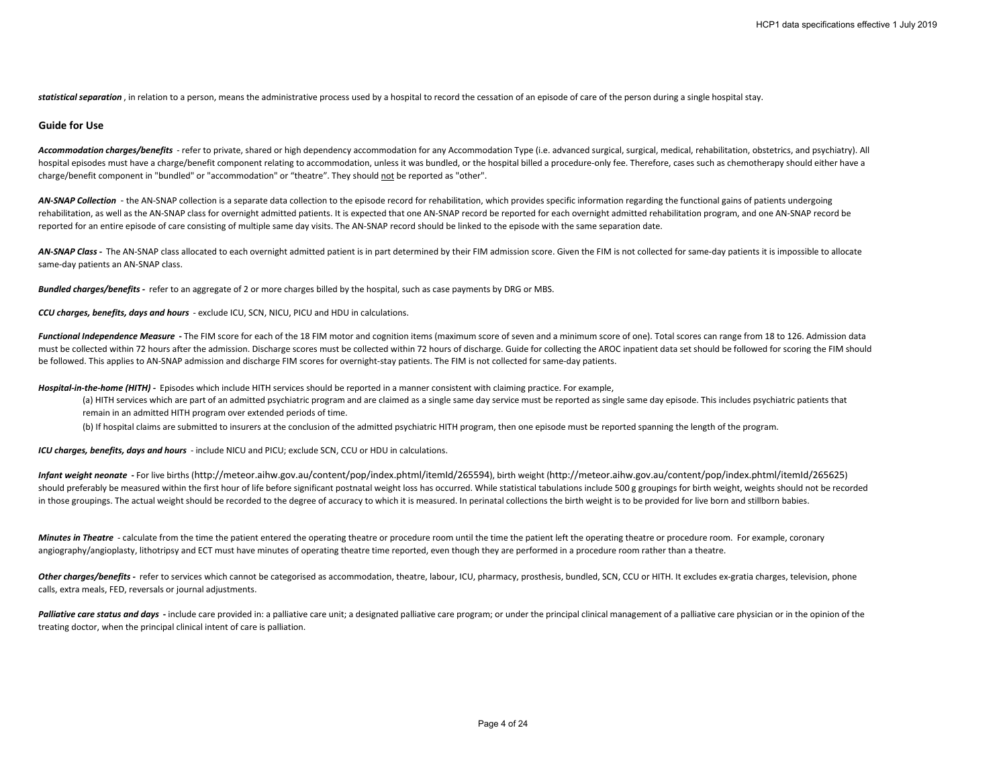statistical separation, in relation to a person, means the administrative process used by a hospital to record the cessation of an episode of care of the person during a single hospital stay.

# **Guide for Use**

Accommodation charges/benefits - refer to private, shared or high dependency accommodation for any Accommodation Type (i.e. advanced surgical, surgical, medical, rehabilitation, obstetrics, and psychiatry). All hospital episodes must have a charge/benefit component relating to accommodation, unless it was bundled, or the hospital billed a procedure-only fee. Therefore, cases such as chemotherapy should either have a charge/benefit component in "bundled" or "accommodation" or "theatre". They should not be reported as "other".

AN-SNAP Collection - the AN-SNAP collection is a separate data collection to the episode record for rehabilitation, which provides specific information regarding the functional gains of patients undergoing rehabilitation, as well as the AN-SNAP class for overnight admitted patients. It is expected that one AN-SNAP record be reported for each overnight admitted rehabilitation program, and one AN-SNAP record be reported for an entire episode of care consisting of multiple same day visits. The AN-SNAP record should be linked to the episode with the same separation date.

AN-SNAP Class - The AN-SNAP class allocated to each overnight admitted patient is in part determined by their FIM admission score. Given the FIM is not collected for same-day patients it is impossible to allocate same-day patients an AN-SNAP class.

*Bundled charges/benefits -* refer to an aggregate of 2 or more charges billed by the hospital, such as case payments by DRG or MBS.

*CCU charges, benefits, days and hours* - exclude ICU, SCN, NICU, PICU and HDU in calculations.

Functional Independence Measure - The FIM score for each of the 18 FIM motor and cognition items (maximum score of seven and a minimum score of one). Total scores can range from 18 to 126. Admission data must be collected within 72 hours after the admission. Discharge scores must be collected within 72 hours of discharge. Guide for collecting the AROC inpatient data set should be followed for scoring the FIM should be followed. This applies to AN-SNAP admission and discharge FIM scores for overnight-stay patients. The FIM is not collected for same-day patients.

*Hospital-in-the-home (HITH) -* Episodes which include HITH services should be reported in a manner consistent with claiming practice. For example,

- (a) HITH services which are part of an admitted psychiatric program and are claimed as a single same day service must be reported as single same day episode. This includes psychiatric patients that remain in an admitted HITH program over extended periods of time.
- (b) If hospital claims are submitted to insurers at the conclusion of the admitted psychiatric HITH program, then one episode must be reported spanning the length of the program.

*ICU charges, benefits, days and hours* - include NICU and PICU; exclude SCN, CCU or HDU in calculations.

*Infant weight neonate* **-** For live births (http://meteor.aihw.gov.au/content/pop/index.phtml/itemId/265594), birth weight (http://meteor.aihw.gov.au/content/pop/index.phtml/itemId/265625) should preferably be measured within the first hour of life before significant postnatal weight loss has occurred. While statistical tabulations include 500 g groupings for birth weight, weights should not be recorded in those groupings. The actual weight should be recorded to the degree of accuracy to which it is measured. In perinatal collections the birth weight is to be provided for live born and stillborn babies.

*Minutes in Theatre -* calculate from the time the patient entered the operating theatre or procedure room until the time the patient left the operating theatre or procedure room. For example, coronary angiography/angioplasty, lithotripsy and ECT must have minutes of operating theatre time reported, even though they are performed in a procedure room rather than a theatre.

Other charges/benefits - refer to services which cannot be categorised as accommodation, theatre, labour, ICU, pharmacy, prosthesis, bundled, SCN, CCU or HITH. It excludes ex-gratia charges, television, phone calls, extra meals, FED, reversals or journal adjustments.

Palliative care status and days - include care provided in: a palliative care unit; a designated palliative care program; or under the principal clinical management of a palliative care physician or in the opinion of the treating doctor, when the principal clinical intent of care is palliation.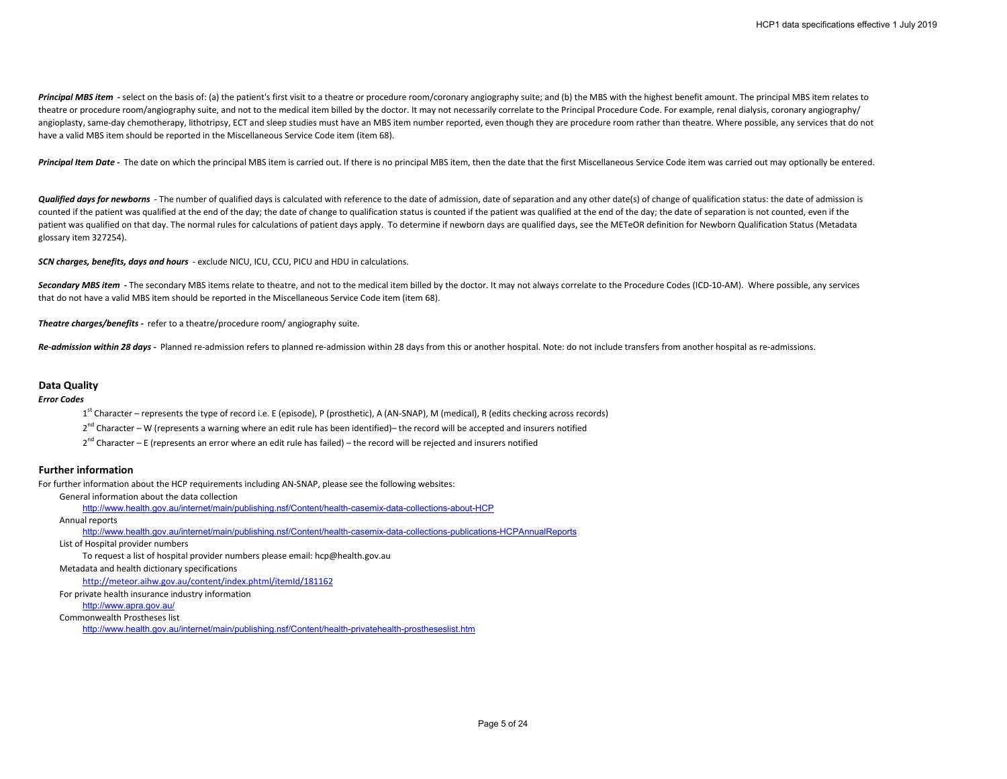Principal MBS item - select on the basis of: (a) the patient's first visit to a theatre or procedure room/coronary angiography suite; and (b) the MBS with the highest benefit amount. The principal MBS item relates to theatre or procedure room/angiography suite, and not to the medical item billed by the doctor. It may not necessarily correlate to the Principal Procedure Code. For example, renal dialysis, coronary angiography/ angioplasty, same-day chemotherapy, lithotripsy, ECT and sleep studies must have an MBS item number reported, even though they are procedure room rather than theatre. Where possible, any services that do not have a valid MBS item should be reported in the Miscellaneous Service Code item (item 68).

Principal Item Date - The date on which the principal MBS item is carried out. If there is no principal MBS item, then the date that the first Miscellaneous Service Code item was carried out may optionally be entered.

*Qualified days for newborns* - The number of qualified days is calculated with reference to the date of admission, date of separation and any other date(s) of change of qualification status: the date of admission is counted if the patient was qualified at the end of the day; the date of change to qualification status is counted if the patient was qualified at the end of the day; the date of separation is not counted, even if the patient was qualified on that day. The normal rules for calculations of patient days apply. To determine if newborn days are qualified days, see the METeOR definition for Newborn Qualification Status (Metadata glossary item 327254).

*SCN charges, benefits, days and hours* - exclude NICU, ICU, CCU, PICU and HDU in calculations.

Secondary MBS item - The secondary MBS items relate to theatre, and not to the medical item billed by the doctor. It may not always correlate to the Procedure Codes (ICD-10-AM). Where possible, any services that do not have a valid MBS item should be reported in the Miscellaneous Service Code item (item 68).

*Theatre charges/benefits -* refer to a theatre/procedure room/ angiography suite.

*Re-admission within 28 days -* Planned re-admission refers to planned re-admission within 28 days from this or another hospital. Note: do not include transfers from another hospital as re-admissions.

## **Data Quality**

## *Error Codes*

 $1<sup>st</sup>$  Character – represents the type of record i.e. E (episode), P (prosthetic), A (AN-SNAP), M (medical), R (edits checking across records)

 $2^{nd}$  Character – W (represents a warning where an edit rule has been identified)– the record will be accepted and insurers notified

 $2^{nd}$  Character – E (represents an error where an edit rule has failed) – the record will be rejected and insurers notified

# **Further information**

For further information about the HCP requirements including AN-SNAP, please see the following websites:

General information about the data collection

<http://www.health.gov.au/internet/main/publishing.nsf/Content/health-casemix-data-collections-about-HCP>

```
Annual reports
```
<http://www.health.gov.au/internet/main/publishing.nsf/Content/health-casemix-data-collections-publications-HCPAnnualReports>

List of Hospital provider numbers

To request a list of hospital provider numbers please email: hcp@health.gov.au

Metadata and health dictionary specifications

<http://meteor.aihw.gov.au/content/index.phtml/itemId/181162>

For private health insurance industry information

<http://www.apra.gov.au/>

Commonwealth Prostheses list

<http://www.health.gov.au/internet/main/publishing.nsf/Content/health-privatehealth-prostheseslist.htm>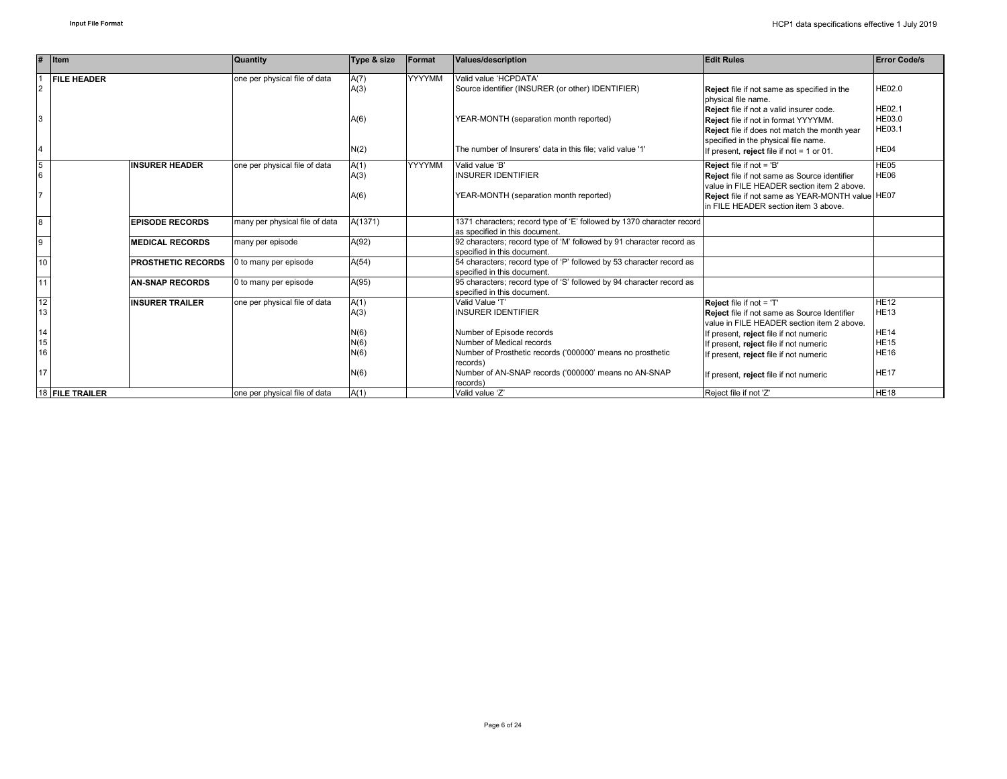|                | $#$ Item                  | <b>Quantity</b>                | Type & size  | Format        | <b>Values/description</b>                                                                               | <b>Edit Rules</b>                                                                                                                                                        | <b>Error Code/s</b>                      |
|----------------|---------------------------|--------------------------------|--------------|---------------|---------------------------------------------------------------------------------------------------------|--------------------------------------------------------------------------------------------------------------------------------------------------------------------------|------------------------------------------|
| $\overline{2}$ | <b>FILE HEADER</b>        | one per physical file of data  | A(7)<br>A(3) | <b>YYYYMM</b> | Valid value 'HCPDATA'<br>Source identifier (INSURER (or other) IDENTIFIER)                              | Reject file if not same as specified in the<br>physical file name.                                                                                                       | <b>HE02.0</b>                            |
| 3              |                           |                                | A(6)         |               | YEAR-MONTH (separation month reported)                                                                  | Reject file if not a valid insurer code.<br>Reject file if not in format YYYYMM.<br>Reject file if does not match the month year<br>specified in the physical file name. | <b>HE02.1</b><br>HE03.0<br><b>HE03.1</b> |
| $\overline{4}$ |                           |                                | N(2)         |               | The number of Insurers' data in this file; valid value '1'                                              | If present, reject file if not = 1 or 01.                                                                                                                                | HE04                                     |
| 5<br>6         | <b>INSURER HEADER</b>     | one per physical file of data  | A(1)<br>A(3) | <b>YYYYMM</b> | Valid value 'B'<br><b>INSURER IDENTIFIER</b>                                                            | <b>Reject file if not = 'B'</b><br>Reject file if not same as Source identifier<br>value in FILE HEADER section item 2 above.                                            | HE <sub>05</sub><br>HE06                 |
| 17             |                           |                                | A(6)         |               | YEAR-MONTH (separation month reported)                                                                  | Reject file if not same as YEAR-MONTH value HE07<br>in FILE HEADER section item 3 above.                                                                                 |                                          |
| $\overline{8}$ | <b>EPISODE RECORDS</b>    | many per physical file of data | A(1371)      |               | 1371 characters; record type of 'E' followed by 1370 character record<br>as specified in this document. |                                                                                                                                                                          |                                          |
| 9              | <b>MEDICAL RECORDS</b>    | many per episode               | A(92)        |               | 92 characters; record type of 'M' followed by 91 character record as<br>specified in this document.     |                                                                                                                                                                          |                                          |
| 10             | <b>PROSTHETIC RECORDS</b> | 0 to many per episode          | A(54)        |               | 54 characters; record type of 'P' followed by 53 character record as<br>specified in this document.     |                                                                                                                                                                          |                                          |
| 11             | <b>AN-SNAP RECORDS</b>    | 0 to many per episode          | A(95)        |               | 95 characters; record type of 'S' followed by 94 character record as<br>specified in this document.     |                                                                                                                                                                          |                                          |
| 12<br>13       | <b>INSURER TRAILER</b>    | one per physical file of data  | A(1)<br>A(3) |               | Valid Value 'T'<br><b>INSURER IDENTIFIER</b>                                                            | Reject file if not = 'T'<br><b>Reject</b> file if not same as Source Identifier<br>value in FILE HEADER section item 2 above.                                            | <b>HE12</b><br><b>HE13</b>               |
| 14<br>15       |                           |                                | N(6)<br>N(6) |               | Number of Episode records<br>Number of Medical records                                                  | If present, reject file if not numeric                                                                                                                                   | <b>HE14</b><br><b>HE15</b>               |
| 16             |                           |                                | N(6)         |               | Number of Prosthetic records ('000000' means no prosthetic                                              | If present, reject file if not numeric<br>If present, reject file if not numeric                                                                                         | <b>HE16</b>                              |
| 17             |                           |                                | N(6)         |               | records)<br>Number of AN-SNAP records ('000000' means no AN-SNAP<br>records)                            | If present, reject file if not numeric                                                                                                                                   | <b>HE17</b>                              |
|                | 18 FILE TRAILER           | one per physical file of data  | A(1)         |               | Valid value 'Z'                                                                                         | Reject file if not 'Z'                                                                                                                                                   | <b>HE18</b>                              |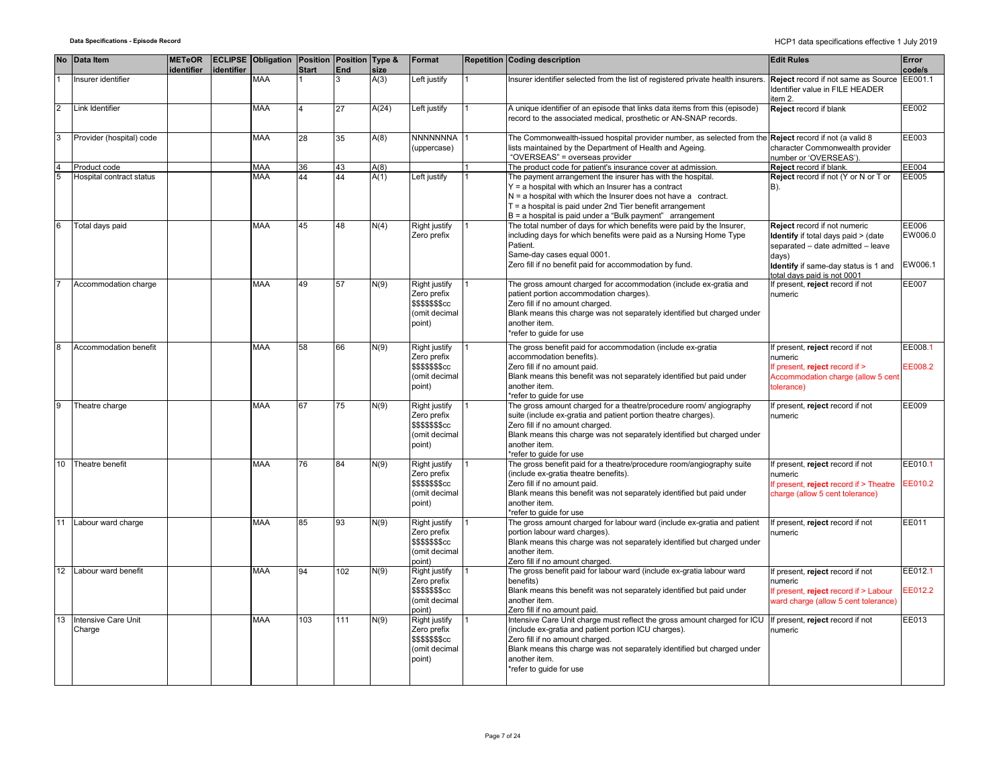|                | No Data Item                  | <b>METeOR</b><br><b>identifier</b> | identifier | <b>ECLIPSE Obligation Position Position Type &amp;</b> | Start | <b>End</b> | size  | Format                                                                      | <b>Repetition Coding description</b>                                                                                                                                                                                                                                                                                 | <b>Edit Rules</b>                                                                                                                                                                       | Error<br>code/s             |
|----------------|-------------------------------|------------------------------------|------------|--------------------------------------------------------|-------|------------|-------|-----------------------------------------------------------------------------|----------------------------------------------------------------------------------------------------------------------------------------------------------------------------------------------------------------------------------------------------------------------------------------------------------------------|-----------------------------------------------------------------------------------------------------------------------------------------------------------------------------------------|-----------------------------|
|                | nsurer identifier             |                                    |            | <b>MAA</b>                                             |       | 3          | A(3)  | Left justify                                                                | nsurer identifier selected from the list of registered private health insurers                                                                                                                                                                                                                                       | Reject record if not same as Source<br>Identifier value in FILE HEADER<br>item 2.                                                                                                       | EE001.1                     |
| $\overline{2}$ | Link Identifier               |                                    |            | <b>MAA</b>                                             |       | 27         | A(24) | Left justify                                                                | A unique identifier of an episode that links data items from this (episode)<br>record to the associated medical, prosthetic or AN-SNAP records.                                                                                                                                                                      | <b>Reject record if blank</b>                                                                                                                                                           | EE002                       |
| 3              | Provider (hospital) code      |                                    |            | <b>MAA</b>                                             | 28    | 35         | A(8)  | NNNNNNNA<br>(uppercase)                                                     | The Commonwealth-issued hospital provider number, as selected from the Reject record if not (a valid 8<br>lists maintained by the Department of Health and Ageing.<br>"OVERSEAS" = overseas provider                                                                                                                 | character Commonwealth provider<br>number or 'OVERSEAS').                                                                                                                               | EE003                       |
| $\overline{4}$ | Product code                  |                                    |            | <b>MAA</b>                                             | 36    | 43         | A(8)  |                                                                             | The product code for patient's insurance cover at admission.                                                                                                                                                                                                                                                         | <b>Reject</b> record if blank.                                                                                                                                                          | EE004                       |
|                | Hospital contract status      |                                    |            | <b>MAA</b>                                             | 44    | 44         | A(1)  | Left justify                                                                | The payment arrangement the insurer has with the hospital.<br>Y = a hospital with which an Insurer has a contract<br>$N = a$ hospital with which the Insurer does not have a contract.<br>$T = a$ hospital is paid under 2nd Tier benefit arrangement<br>$B = a$ hospital is paid under a "Bulk payment" arrangement | Reject record if not (Y or N or T or<br>B).                                                                                                                                             | EE005                       |
| 6              | Total days paid               |                                    |            | <b>MAA</b>                                             | 45    | 48         | N(4)  | Right justify<br>Zero prefix                                                | The total number of days for which benefits were paid by the Insurer,<br>including days for which benefits were paid as a Nursing Home Type<br>Patient.<br>Same-day cases equal 0001.<br>Zero fill if no benefit paid for accommodation by fund.                                                                     | Reject record if not numeric<br>Identify if total days paid > (date<br>separated - date admitted - leave<br>days)<br>Identify if same-day status is 1 and<br>otal davs paid is not 0001 | EE006<br>EW006.0<br>EW006.1 |
|                | Accommodation charge          |                                    |            | <b>MAA</b>                                             | 49    | 57         | N(9)  | Right justify<br>Zero prefix<br>\$\$\$\$\$\$\$cc<br>(omit decimal<br>point) | The gross amount charged for accommodation (include ex-gratia and<br>patient portion accommodation charges).<br>Zero fill if no amount charged.<br>Blank means this charge was not separately identified but charged under<br>another item.<br>*refer to guide for use                                               | If present, reject record if not<br>numeric                                                                                                                                             | EE007                       |
| 8              | Accommodation benefit         |                                    |            | <b>MAA</b>                                             | 58    | 66         | N(9)  | Right justify<br>Zero prefix<br>\$\$\$\$\$\$\$cc<br>(omit decimal<br>point) | The gross benefit paid for accommodation (include ex-gratia<br>accommodation benefits).<br>Zero fill if no amount paid.<br>Blank means this benefit was not separately identified but paid under<br>another item.<br>*refer to quide for use                                                                         | If present, reject record if not<br>numeric<br>If present, reject record if ><br>Accommodation charge (allow 5 cent<br>tolerance)                                                       | EE008.1<br>EE008.2          |
|                | Theatre charge                |                                    |            | <b>MAA</b>                                             | 67    | 75         | N(9)  | Right justify<br>Zero prefix<br>\$\$\$\$\$\$\$cc<br>(omit decimal<br>point) | The gross amount charged for a theatre/procedure room/ angiography<br>suite (include ex-gratia and patient portion theatre charges).<br>Zero fill if no amount charged.<br>Blank means this charge was not separately identified but charged under<br>another item.<br>*refer to quide for use                       | If present, reject record if not<br>numeric                                                                                                                                             | EE009                       |
| 10             | Theatre benefit               |                                    |            | <b>MAA</b>                                             | 76    | 84         | N(9)  | Right justify<br>Zero prefix<br>\$\$\$\$\$\$\$cc<br>(omit decimal<br>point) | The gross benefit paid for a theatre/procedure room/angiography suite<br>(include ex-gratia theatre benefits).<br>Zero fill if no amount paid.<br>Blank means this benefit was not separately identified but paid under<br>another item.<br>*refer to guide for use                                                  | If present, reject record if not<br>numeric<br>If present, reject record if > Theatre<br>charge (allow 5 cent tolerance)                                                                | EE010.1<br>EE010.2          |
| 11             | Labour ward charge            |                                    |            | <b>MAA</b>                                             | 85    | 93         | N(9)  | Right justify<br>Zero prefix<br>\$\$\$\$\$\$\$cc<br>(omit decimal<br>point) | The gross amount charged for labour ward (include ex-gratia and patient<br>portion labour ward charges).<br>Blank means this charge was not separately identified but charged under<br>another item.<br>Zero fill if no amount charged.                                                                              | f present, reject record if not<br>าumeric                                                                                                                                              | EE011                       |
| 12             | Labour ward benefit           |                                    |            | <b>MAA</b>                                             | 94    | 102        | N(9)  | Right justify<br>Zero prefix<br>\$\$\$\$\$\$\$cc<br>(omit decimal<br>point) | The gross benefit paid for labour ward (include ex-gratia labour ward<br>benefits)<br>Blank means this benefit was not separately identified but paid under<br>another item.<br>Zero fill if no amount paid.                                                                                                         | f present, reject record if not<br>numeric<br>If present, reject record if > Labour<br>ward charge (allow 5 cent tolerance)                                                             | EE012.1<br>EE012.2          |
| 13             | Intensive Care Unit<br>Charge |                                    |            | <b>MAA</b>                                             | 103   | 111        | N(9)  | Right justify<br>Zero prefix<br>\$\$\$\$\$\$\$cc<br>(omit decimal<br>point) | Intensive Care Unit charge must reflect the gross amount charged for ICU<br>(include ex-gratia and patient portion ICU charges).<br>Zero fill if no amount charged.<br>Blank means this charge was not separately identified but charged under<br>another item.<br>*refer to guide for use                           | If present, reject record if not<br>numeric                                                                                                                                             | EE013                       |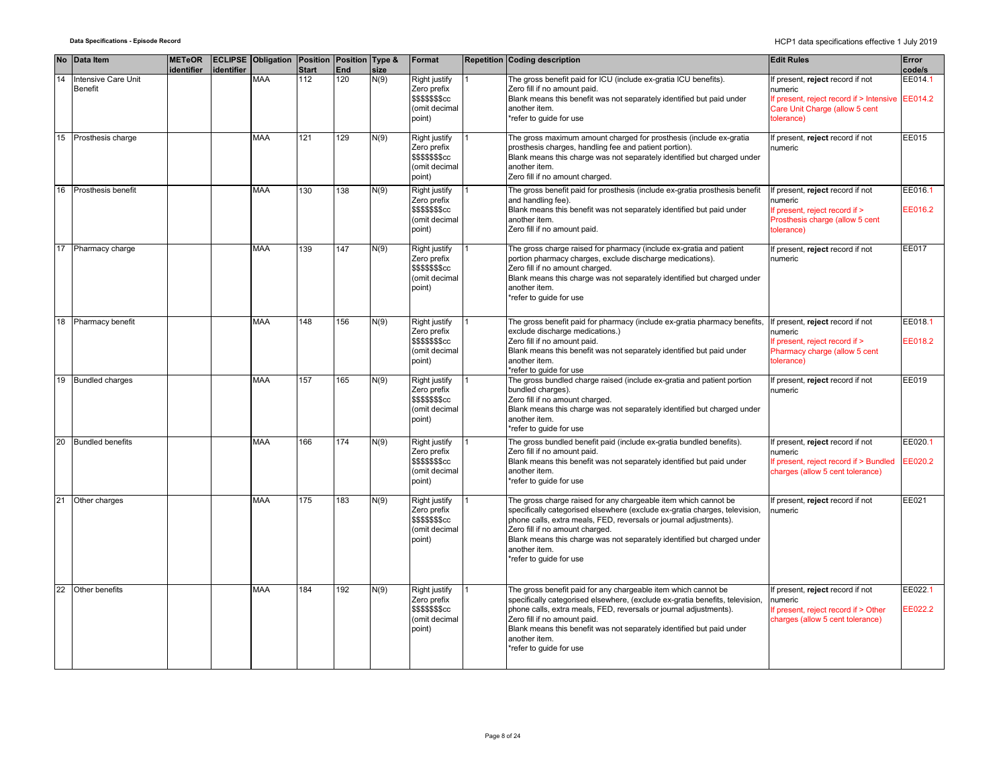|    | No Data Item                          | <b>METeOR</b><br>identifier | identifier | <b>ECLIPSE Obligation Position Position Type &amp;</b> | <b>Start</b> | End | size | Format                                                                             | Repetition Coding description                                                                                                                                                                                                                                                                                                                                               | <b>Edit Rules</b>                                                                                                                      | Error<br>code/s    |
|----|---------------------------------------|-----------------------------|------------|--------------------------------------------------------|--------------|-----|------|------------------------------------------------------------------------------------|-----------------------------------------------------------------------------------------------------------------------------------------------------------------------------------------------------------------------------------------------------------------------------------------------------------------------------------------------------------------------------|----------------------------------------------------------------------------------------------------------------------------------------|--------------------|
| 14 | Intensive Care Unit<br><b>Benefit</b> |                             |            | <b>MAA</b>                                             | 112          | 120 | N(9) | Right justify<br>Zero prefix<br>\$\$\$\$\$\$\$cc<br>(omit decimal<br>point)        | The gross benefit paid for ICU (include ex-gratia ICU benefits).<br>Zero fill if no amount paid.<br>Blank means this benefit was not separately identified but paid under<br>another item.<br>refer to quide for use                                                                                                                                                        | If present, reject record if not<br>numeric<br>If present, reject record if > Intensive<br>Care Unit Charge (allow 5 cent<br>(olerance | EE014.1<br>EE014.2 |
| 15 | Prosthesis charge                     |                             |            | <b>MAA</b>                                             | 121          | 129 | N(9) | <b>Right justify</b><br>Zero prefix<br>\$\$\$\$\$\$\$cc<br>(omit decimal<br>point) | The gross maximum amount charged for prosthesis (include ex-gratia<br>prosthesis charges, handling fee and patient portion).<br>Blank means this charge was not separately identified but charged under<br>another item.<br>Zero fill if no amount charged.                                                                                                                 | f present, reject record if not<br>numeric                                                                                             | EE015              |
| 16 | Prosthesis benefit                    |                             |            | <b>MAA</b>                                             | 130          | 138 | N(9) | <b>Right justify</b><br>Zero prefix<br>\$\$\$\$\$\$\$cc<br>(omit decimal<br>point) | The gross benefit paid for prosthesis (include ex-gratia prosthesis benefit<br>and handling fee).<br>Blank means this benefit was not separately identified but paid under<br>another item.<br>Zero fill if no amount paid.                                                                                                                                                 | present, reject record if not<br>numeric<br>If present, reject record if ><br>Prosthesis charge (allow 5 cent<br>tolerance)            | EE016.1<br>EE016.2 |
|    | 17 Pharmacy charge                    |                             |            | <b>MAA</b>                                             | 139          | 147 | N(9) | Right justify<br>Zero prefix<br>\$\$\$\$\$\$\$cc<br>(omit decimal<br>point)        | The gross charge raised for pharmacy (include ex-gratia and patient<br>portion pharmacy charges, exclude discharge medications).<br>Zero fill if no amount charged.<br>Blank means this charge was not separately identified but charged under<br>another item.<br>*refer to guide for use                                                                                  | f present, reject record if not<br>numeric                                                                                             | EE017              |
| 18 | Pharmacy benefit                      |                             |            | <b>MAA</b>                                             | 148          | 156 | N(9) | Right justify<br>Zero prefix<br>\$\$\$\$\$\$\$cc<br>(omit decimal<br>point)        | The gross benefit paid for pharmacy (include ex-gratia pharmacy benefits,<br>exclude discharge medications.)<br>Zero fill if no amount paid.<br>Blank means this benefit was not separately identified but paid under<br>another item.<br>*refer to quide for use                                                                                                           | If present, reject record if not<br>numeric<br>If present, reject record if ><br>Pharmacy charge (allow 5 cent<br>tolerance)           | EE018.1<br>EE018.2 |
| 19 | <b>Bundled charges</b>                |                             |            | <b>MAA</b>                                             | 157          | 165 | N(9) | Right justify<br>Zero prefix<br>\$\$\$\$\$\$\$cc<br>(omit decimal<br>point)        | The gross bundled charge raised (include ex-gratia and patient portion<br>bundled charges).<br>Zero fill if no amount charged.<br>Blank means this charge was not separately identified but charged under<br>another item.<br>refer to quide for use                                                                                                                        | present, reject record if not<br>numeric                                                                                               | EE019              |
|    | 20 Bundled benefits                   |                             |            | <b>MAA</b>                                             | 166          | 174 | N(9) | Right justify<br>Zero prefix<br>\$\$\$\$\$\$\$cc<br>(omit decimal<br>point)        | The gross bundled benefit paid (include ex-gratia bundled benefits).<br>Zero fill if no amount paid.<br>Blank means this benefit was not separately identified but paid under<br>another item.<br>*refer to quide for use                                                                                                                                                   | If present, reject record if not<br>numeric<br>If present, reject record if > Bundled<br>charges (allow 5 cent tolerance)              | EE020.1<br>EE020.2 |
| 21 | Other charges                         |                             |            | <b>MAA</b>                                             | 175          | 183 | N(9) | Right justify<br>Zero prefix<br>\$\$\$\$\$\$\$cc<br>(omit decimal<br>point)        | The gross charge raised for any chargeable item which cannot be<br>specifically categorised elsewhere (exclude ex-gratia charges, television,<br>phone calls, extra meals, FED, reversals or journal adjustments).<br>Zero fill if no amount charged.<br>Blank means this charge was not separately identified but charged under<br>another item.<br>refer to quide for use | If present, reject record if not<br>numeric                                                                                            | EE021              |
| 22 | Other benefits                        |                             |            | <b>MAA</b>                                             | 184          | 192 | N(9) | <b>Right justify</b><br>Zero prefix<br>\$\$\$\$\$\$\$cc<br>(omit decimal<br>point) | The gross benefit paid for any chargeable item which cannot be<br>specifically categorised elsewhere, (exclude ex-gratia benefits, television,<br>phone calls, extra meals, FED, reversals or journal adjustments).<br>Zero fill if no amount paid.<br>Blank means this benefit was not separately identified but paid under<br>another item.<br>*refer to guide for use    | If present, reject record if not<br>numeric<br>f present, reject record if > Other<br>charges (allow 5 cent tolerance)                 | EE022.1<br>EE022.2 |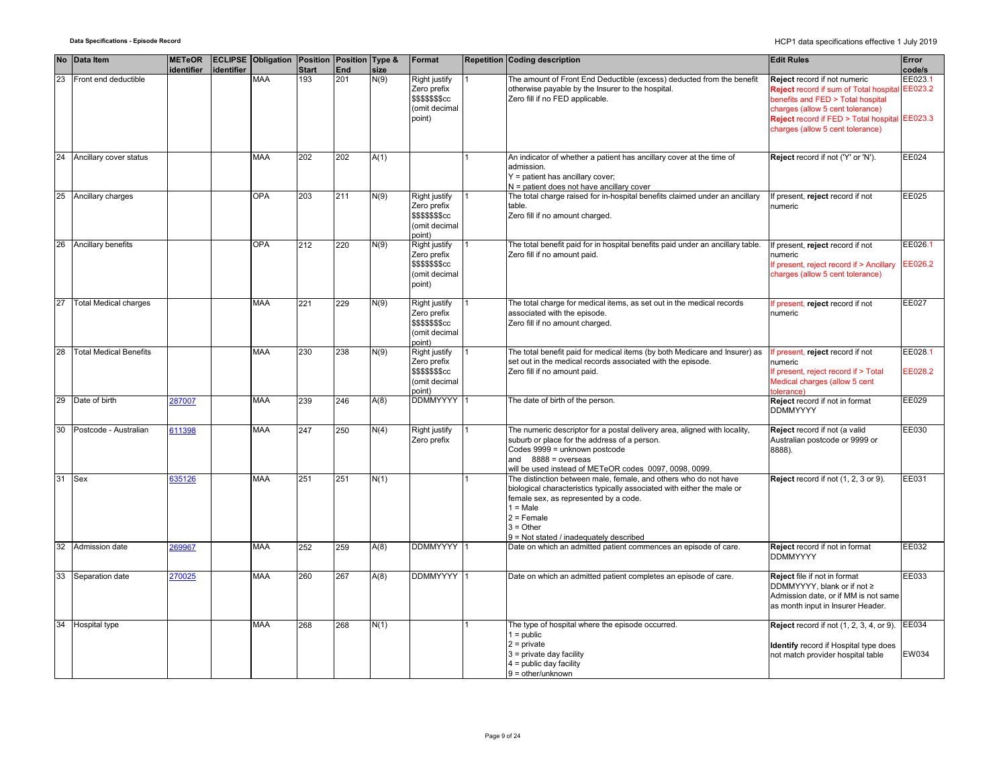|    | No Data Item                  | <b>METeOR</b><br>identifier | identifier | <b>ECLIPSE Obligation Position Position Type &amp;</b> | <b>Start</b> | End | size | Format                                                                             | Repetition Coding description                                                                                                                                                                                                                                                | <b>Edit Rules</b>                                                                                                                                                                                                                           | Error<br>code/s    |
|----|-------------------------------|-----------------------------|------------|--------------------------------------------------------|--------------|-----|------|------------------------------------------------------------------------------------|------------------------------------------------------------------------------------------------------------------------------------------------------------------------------------------------------------------------------------------------------------------------------|---------------------------------------------------------------------------------------------------------------------------------------------------------------------------------------------------------------------------------------------|--------------------|
| 23 | Front end deductible          |                             |            | MAA                                                    | 193          | 201 | N(9) | Right justify<br>Zero prefix<br>\$\$\$\$\$\$\$cc<br>(omit decimal<br>point)        | The amount of Front End Deductible (excess) deducted from the benefit<br>otherwise payable by the Insurer to the hospital.<br>Zero fill if no FED applicable.                                                                                                                | Reject record if not numeric<br><b>Reject</b> record if sum of Total hospital<br>benefits and FED > Total hospital<br>charges (allow 5 cent tolerance)<br>Reject record if FED > Total hospital EE023.3<br>charges (allow 5 cent tolerance) | EE023.1<br>EE023.2 |
|    | 24 Ancillary cover status     |                             |            | <b>MAA</b>                                             | 202          | 202 | A(1) |                                                                                    | An indicator of whether a patient has ancillary cover at the time of<br>admission.<br>Y = patient has ancillary cover;<br>N = patient does not have ancillary cover                                                                                                          | Reject record if not ('Y' or 'N').                                                                                                                                                                                                          | EE024              |
| 25 | Ancillary charges             |                             |            | <b>OPA</b>                                             | 203          | 211 | N(9) | Right justify<br>Zero prefix<br>\$\$\$\$\$\$\$cc<br>(omit decimal<br>point)        | The total charge raised for in-hospital benefits claimed under an ancillary<br>table.<br>Zero fill if no amount charged.                                                                                                                                                     | f present, reject record if not<br>numeric                                                                                                                                                                                                  | EE025              |
| 26 | Ancillary benefits            |                             |            | <b>OPA</b>                                             | 212          | 220 | N(9) | Right justify<br>Zero prefix<br>\$\$\$\$\$\$\$cc<br>(omit decimal<br>point)        | The total benefit paid for in hospital benefits paid under an ancillary table.<br>Zero fill if no amount paid.                                                                                                                                                               | If present, reject record if not<br>numeric<br>If present, reject record if > Ancillary<br>charges (allow 5 cent tolerance)                                                                                                                 | EE026.1<br>EE026.2 |
| 27 | <b>Total Medical charges</b>  |                             |            | <b>MAA</b>                                             | 221          | 229 | N(9) | <b>Right justify</b><br>Zero prefix<br>\$\$\$\$\$\$\$cc<br>(omit decimal<br>point) | The total charge for medical items, as set out in the medical records<br>associated with the episode.<br>Zero fill if no amount charged.                                                                                                                                     | f present, reject record if not<br>numeric                                                                                                                                                                                                  | EE027              |
| 28 | <b>Total Medical Benefits</b> |                             |            | <b>MAA</b>                                             | 230          | 238 | N(9) | Right justify<br>Zero prefix<br>\$\$\$\$\$\$\$cc<br>(omit decimal<br>point)        | The total benefit paid for medical items (by both Medicare and Insurer) as<br>set out in the medical records associated with the episode.<br>Zero fill if no amount paid.                                                                                                    | f present, reject record if not<br>numeric<br>If present, reject record if > Total<br>Medical charges (allow 5 cent<br>olerance)                                                                                                            | EE028.1<br>EE028.2 |
|    | 29 Date of birth              | 287007                      |            | <b>MAA</b>                                             | 239          | 246 | A(8) | <b>DDMMYYYY</b>                                                                    | The date of birth of the person.                                                                                                                                                                                                                                             | Reject record if not in format<br><b>DDMMYYYY</b>                                                                                                                                                                                           | EE029              |
| 30 | Postcode - Australian         | 611398                      |            | MAA                                                    | 247          | 250 | N(4) | Right justify<br>Zero prefix                                                       | The numeric descriptor for a postal delivery area, aligned with locality,<br>suburb or place for the address of a person.<br>Codes 9999 = unknown postcode<br>and $8888 = 0$ verseas<br>will be used instead of METeOR codes 0097, 0098, 0099.                               | Reject record if not (a valid<br>Australian postcode or 9999 or<br>8888).                                                                                                                                                                   | EE030              |
| 31 | Sex                           | 635126                      |            | <b>MAA</b>                                             | 251          | 251 | N(1) |                                                                                    | The distinction between male, female, and others who do not have<br>biological characteristics typically associated with either the male or<br>female sex, as represented by a code.<br>$1 = Male$<br>$2$ = Female<br>$3 = Other$<br>9 = Not stated / inadequately described | Reject record if not (1, 2, 3 or 9).                                                                                                                                                                                                        | EE031              |
| 32 | Admission date                | 269967                      |            | MAA                                                    | 252          | 259 | A(8) | <b>DDMMYYYY</b>                                                                    | Date on which an admitted patient commences an episode of care.                                                                                                                                                                                                              | Reject record if not in format<br><b>DDMMYYYY</b>                                                                                                                                                                                           | EE032              |
|    | 33 Separation date            | 270025                      |            | <b>MAA</b>                                             | 260          | 267 | A(8) | <b>DDMMYYYY</b>                                                                    | Date on which an admitted patient completes an episode of care.                                                                                                                                                                                                              | Reject file if not in format<br>DDMMYYYY, blank or if not ≥<br>Admission date, or if MM is not same<br>as month input in Insurer Header.                                                                                                    | EE033              |
|    | 34 Hospital type              |                             |            | <b>MAA</b>                                             | 268          | 268 | N(1) |                                                                                    | The type of hospital where the episode occurred.<br>$1 =$ public<br>$2$ = private<br>3 = private day facility<br>$4 =$ public day facility<br>$9 =$ other/unknown                                                                                                            | <b>Reject</b> record if not (1, 2, 3, 4, or 9).<br>Identify record if Hospital type does<br>not match provider hospital table                                                                                                               | EE034<br>EW034     |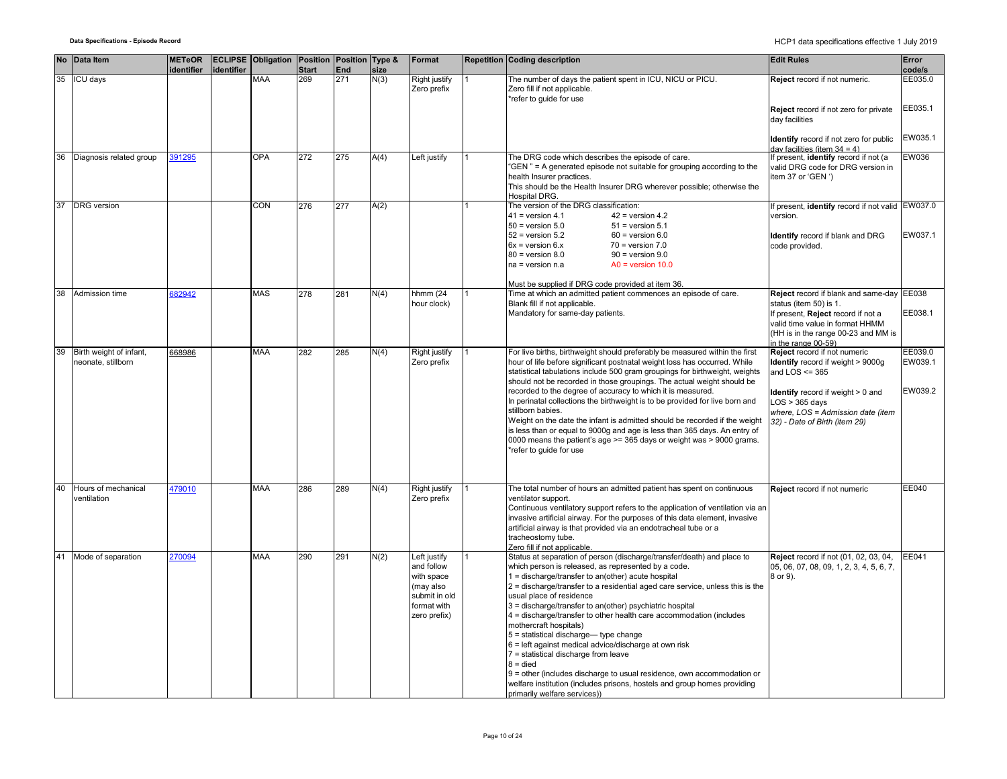|    | No Data Item                                  | <b>METeOR</b><br>identifier | identifier | <b>ECLIPSE Obligation Position Position Type &amp;</b> | <b>Start</b> | End | size | Format                                                                                                | Repetition Coding description                                                                                                                                                                                                                                                                                                                                                                                                                                                                                                                                                                                                                                                                                                                                                                                    | <b>Edit Rules</b>                                                                                                                                                                                                      | Error<br>code/s               |
|----|-----------------------------------------------|-----------------------------|------------|--------------------------------------------------------|--------------|-----|------|-------------------------------------------------------------------------------------------------------|------------------------------------------------------------------------------------------------------------------------------------------------------------------------------------------------------------------------------------------------------------------------------------------------------------------------------------------------------------------------------------------------------------------------------------------------------------------------------------------------------------------------------------------------------------------------------------------------------------------------------------------------------------------------------------------------------------------------------------------------------------------------------------------------------------------|------------------------------------------------------------------------------------------------------------------------------------------------------------------------------------------------------------------------|-------------------------------|
| 35 | <b>ICU days</b>                               |                             |            | <b>MAA</b>                                             | 269          | 271 | N(3) | Right justify<br>Zero prefix                                                                          | The number of days the patient spent in ICU, NICU or PICU.<br>Zero fill if not applicable.<br>*refer to guide for use                                                                                                                                                                                                                                                                                                                                                                                                                                                                                                                                                                                                                                                                                            | Reject record if not numeric.                                                                                                                                                                                          | EE035.0<br>EE035.1            |
|    |                                               |                             |            |                                                        |              |     |      |                                                                                                       |                                                                                                                                                                                                                                                                                                                                                                                                                                                                                                                                                                                                                                                                                                                                                                                                                  | Reject record if not zero for private<br>day facilities<br>Identify record if not zero for public                                                                                                                      | EW035.1                       |
|    |                                               |                             |            |                                                        |              |     |      |                                                                                                       |                                                                                                                                                                                                                                                                                                                                                                                                                                                                                                                                                                                                                                                                                                                                                                                                                  | day facilities (item $34 = 4$ )                                                                                                                                                                                        |                               |
| 36 | Diagnosis related group                       | 391295                      |            | <b>OPA</b>                                             | 272          | 275 | A(4) | Left justify                                                                                          | The DRG code which describes the episode of care.<br>"GEN" = A generated episode not suitable for grouping according to the<br>health Insurer practices.<br>This should be the Health Insurer DRG wherever possible; otherwise the<br><b>Hospital DRG.</b>                                                                                                                                                                                                                                                                                                                                                                                                                                                                                                                                                       | If present, identify record if not (a<br>valid DRG code for DRG version in<br>item 37 or 'GEN ')                                                                                                                       | EW036                         |
| 37 | <b>DRG</b> version                            |                             |            | CON                                                    | 276          | 277 | A(2) |                                                                                                       | The version of the DRG classification:<br>$41$ = version 4.1<br>$42$ = version 4.2                                                                                                                                                                                                                                                                                                                                                                                                                                                                                                                                                                                                                                                                                                                               | If present, identify record if not valid EW037.0<br>version.                                                                                                                                                           |                               |
|    |                                               |                             |            |                                                        |              |     |      |                                                                                                       | $50$ = version $5.0$<br>$51$ = version $5.1$<br>$52$ = version $5.2$<br>$60$ = version $6.0$<br>$6x = version 6.x$<br>$70 = version 7.0$<br>$80$ = version $8.0$<br>$90 =$ version $9.0$<br>$na = version n.a$<br>$AO = version 10.0$                                                                                                                                                                                                                                                                                                                                                                                                                                                                                                                                                                            | Identify record if blank and DRG<br>code provided.                                                                                                                                                                     | EW037.1                       |
|    |                                               |                             |            |                                                        |              |     |      |                                                                                                       | Must be supplied if DRG code provided at item 36.                                                                                                                                                                                                                                                                                                                                                                                                                                                                                                                                                                                                                                                                                                                                                                |                                                                                                                                                                                                                        |                               |
| 38 | Admission time                                | 82942                       |            | <b>MAS</b>                                             | 278          | 281 | N(4) | hhmm $(24)$<br>hour clock)                                                                            | Time at which an admitted patient commences an episode of care.<br>Blank fill if not applicable.                                                                                                                                                                                                                                                                                                                                                                                                                                                                                                                                                                                                                                                                                                                 | Reject record if blank and same-day EE038<br>status (item 50) is 1.                                                                                                                                                    |                               |
|    |                                               |                             |            |                                                        |              |     |      |                                                                                                       | Mandatory for same-day patients.                                                                                                                                                                                                                                                                                                                                                                                                                                                                                                                                                                                                                                                                                                                                                                                 | If present, Reject record if not a<br>valid time value in format HHMM<br>(HH is in the range 00-23 and MM is<br>in the range 00-59)                                                                                    | EE038.1                       |
| 39 | Birth weight of infant,<br>neonate, stillborn | 668986                      |            | <b>MAA</b>                                             | 282          | 285 | N(4) | Right justify<br>Zero prefix                                                                          | For live births, birthweight should preferably be measured within the first<br>hour of life before significant postnatal weight loss has occurred. While<br>statistical tabulations include 500 gram groupings for birthweight, weights<br>should not be recorded in those groupings. The actual weight should be<br>recorded to the degree of accuracy to which it is measured.<br>In perinatal collections the birthweight is to be provided for live born and<br>stillborn babies.<br>Weight on the date the infant is admitted should be recorded if the weight<br>is less than or equal to 9000q and age is less than 365 days. An entry of<br>0000 means the patient's age >= 365 days or weight was > 9000 grams.<br>*refer to quide for use                                                              | Reject record if not numeric<br>Identify record if weight > 9000g<br>and $LOS \leq 365$<br>Identify record if weight > 0 and<br>$LOS > 365$ days<br>where, LOS = Admission date (item<br>32) - Date of Birth (item 29) | EE039.0<br>EW039.1<br>EW039.2 |
| 40 | Hours of mechanical<br>ventilation            | 479010                      |            | <b>MAA</b>                                             | 286          | 289 | N(4) | Right justify<br>Zero prefix                                                                          | The total number of hours an admitted patient has spent on continuous<br>ventilator support.<br>Continuous ventilatory support refers to the application of ventilation via an<br>invasive artificial airway. For the purposes of this data element, invasive<br>artificial airway is that provided via an endotracheal tube or a<br>tracheostomy tube.<br>Zero fill if not applicable.                                                                                                                                                                                                                                                                                                                                                                                                                          | Reject record if not numeric                                                                                                                                                                                           | EE040                         |
| 41 | Mode of separation                            | 270094                      |            | <b>MAA</b>                                             | 290          | 291 | N(2) | Left justify<br>and follow<br>with space<br>(may also<br>submit in old<br>format with<br>zero prefix) | Status at separation of person (discharge/transfer/death) and place to<br>which person is released, as represented by a code.<br>1 = discharge/transfer to an(other) acute hospital<br>$2$ = discharge/transfer to a residential aged care service, unless this is the<br>usual place of residence<br>3 = discharge/transfer to an(other) psychiatric hospital<br>4 = discharge/transfer to other health care accommodation (includes<br>mothercraft hospitals)<br>5 = statistical discharge- type change<br>$6$ = left against medical advice/discharge at own risk<br>7 = statistical discharge from leave<br>$8 =$ died<br>9 = other (includes discharge to usual residence, own accommodation or<br>welfare institution (includes prisons, hostels and group homes providing<br>primarily welfare services)) | Reject record if not (01, 02, 03, 04,<br>05, 06, 07, 08, 09, 1, 2, 3, 4, 5, 6, 7,<br>8 or 9).                                                                                                                          | EE041                         |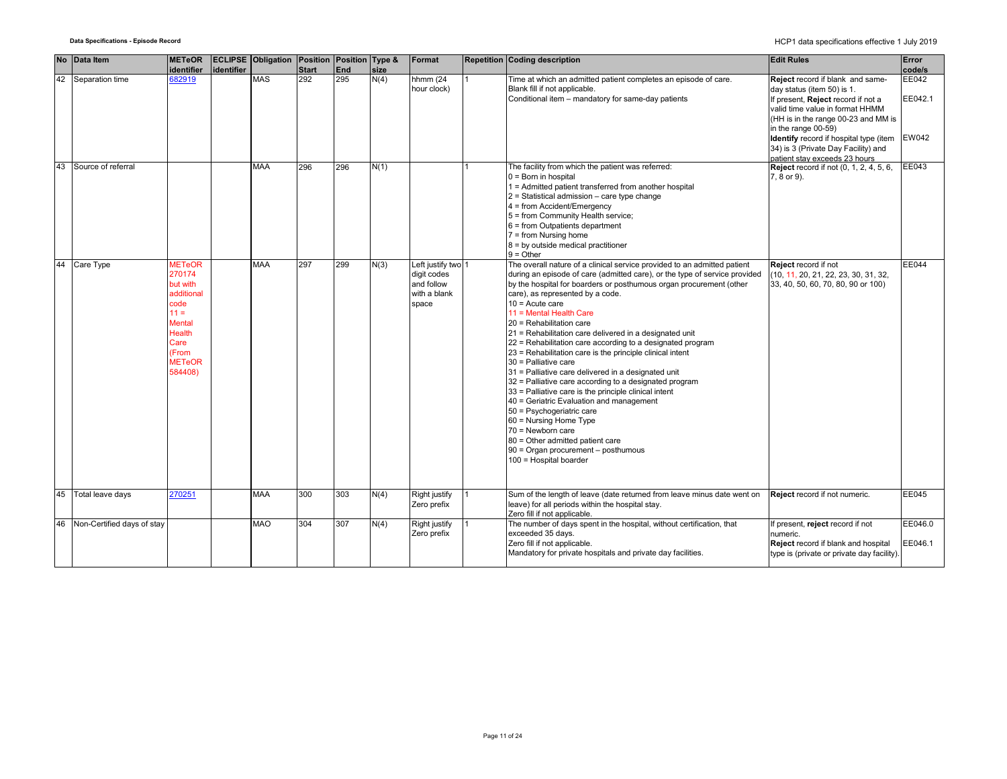| <b>No</b> | Data Item                     | <b>METeOR</b><br>identifier                                                                                                                        | identifier | <b>ECLIPSE Obligation Position Position Type &amp;</b> | <b>Start</b> | <b>End</b> | size | Format                                                                   | Repetition Coding description                                                                                                                                                                                                                                                                                                                                                                                                                                                                                                                                                                                                                                                                                                                                                                                                                                                                                                                                      | <b>Edit Rules</b>                                                                                                                                                                                                                                                                                                              | Error<br>code/s           |
|-----------|-------------------------------|----------------------------------------------------------------------------------------------------------------------------------------------------|------------|--------------------------------------------------------|--------------|------------|------|--------------------------------------------------------------------------|--------------------------------------------------------------------------------------------------------------------------------------------------------------------------------------------------------------------------------------------------------------------------------------------------------------------------------------------------------------------------------------------------------------------------------------------------------------------------------------------------------------------------------------------------------------------------------------------------------------------------------------------------------------------------------------------------------------------------------------------------------------------------------------------------------------------------------------------------------------------------------------------------------------------------------------------------------------------|--------------------------------------------------------------------------------------------------------------------------------------------------------------------------------------------------------------------------------------------------------------------------------------------------------------------------------|---------------------------|
|           | 42 Separation time            | 682919                                                                                                                                             |            | MAS                                                    | 292          | 295        | N(4) | hhmm (24<br>hour clock)                                                  | Time at which an admitted patient completes an episode of care.<br>Blank fill if not applicable.<br>Conditional item - mandatory for same-day patients                                                                                                                                                                                                                                                                                                                                                                                                                                                                                                                                                                                                                                                                                                                                                                                                             | Reject record if blank and same-<br>day status (item 50) is 1.<br>If present, Reject record if not a<br>valid time value in format HHMM<br>(HH is in the range 00-23 and MM is<br>in the range 00-59)<br><b>Identify</b> record if hospital type (item<br>34) is 3 (Private Day Facility) and<br>patient stay exceeds 23 hours | EE042<br>EE042.1<br>EW042 |
| 43        | Source of referral            |                                                                                                                                                    |            | <b>MAA</b>                                             | 296          | 296        | N(1) |                                                                          | The facility from which the patient was referred:<br>$0 =$ Born in hospital<br>1 = Admitted patient transferred from another hospital<br>$2$ = Statistical admission – care type change<br>4 = from Accident/Emergency<br>5 = from Community Health service;<br>6 = from Outpatients department<br>$7 = from Nursing home$<br>8 = by outside medical practitioner<br>$9 =$ Other                                                                                                                                                                                                                                                                                                                                                                                                                                                                                                                                                                                   | <b>Reject</b> record if not (0, 1, 2, 4, 5, 6,<br>7, 8 or 9).                                                                                                                                                                                                                                                                  | EE043                     |
|           | 44 Care Type                  | <b>METeOR</b><br>270174<br>but with<br>additional<br>code<br>$11 =$<br><b>Mental</b><br><b>Health</b><br>Care<br>(From<br><b>METeOR</b><br>584408) |            | MAA                                                    | 297          | 299        | N(3) | Left justify two 1<br>digit codes<br>and follow<br>with a blank<br>space | The overall nature of a clinical service provided to an admitted patient<br>during an episode of care (admitted care), or the type of service provided<br>by the hospital for boarders or posthumous organ procurement (other<br>care), as represented by a code.<br>$10 =$ Acute care<br>11 = Mental Health Care<br>20 = Rehabilitation care<br>21 = Rehabilitation care delivered in a designated unit<br>22 = Rehabilitation care according to a designated program<br>23 = Rehabilitation care is the principle clinical intent<br>30 = Palliative care<br>31 = Palliative care delivered in a designated unit<br>32 = Palliative care according to a designated program<br>33 = Palliative care is the principle clinical intent<br>40 = Geriatric Evaluation and management<br>50 = Psychogeriatric care<br>60 = Nursing Home Type<br>70 = Newborn care<br>80 = Other admitted patient care<br>90 = Organ procurement - posthumous<br>100 = Hospital boarder | Reject record if not<br>(10, 11, 20, 21, 22, 23, 30, 31, 32,<br>33, 40, 50, 60, 70, 80, 90 or 100)                                                                                                                                                                                                                             | EE044                     |
| 45        | Total leave days              | 270251                                                                                                                                             |            | MAA                                                    | 300          | 303        | N(4) | Right justify<br>Zero prefix                                             | Sum of the length of leave (date returned from leave minus date went on<br>leave) for all periods within the hospital stay.<br>Zero fill if not applicable.                                                                                                                                                                                                                                                                                                                                                                                                                                                                                                                                                                                                                                                                                                                                                                                                        | Reject record if not numeric.                                                                                                                                                                                                                                                                                                  | EE045                     |
|           | 46 Non-Certified days of stay |                                                                                                                                                    |            | <b>MAO</b>                                             | 304          | 307        | N(4) | Right justify<br>Zero prefix                                             | The number of days spent in the hospital, without certification, that<br>exceeded 35 days.<br>Zero fill if not applicable.<br>Mandatory for private hospitals and private day facilities.                                                                                                                                                                                                                                                                                                                                                                                                                                                                                                                                                                                                                                                                                                                                                                          | f present, reject record if not<br>numeric.<br>Reject record if blank and hospital<br>type is (private or private day facility).                                                                                                                                                                                               | EE046.0<br>EE046.1        |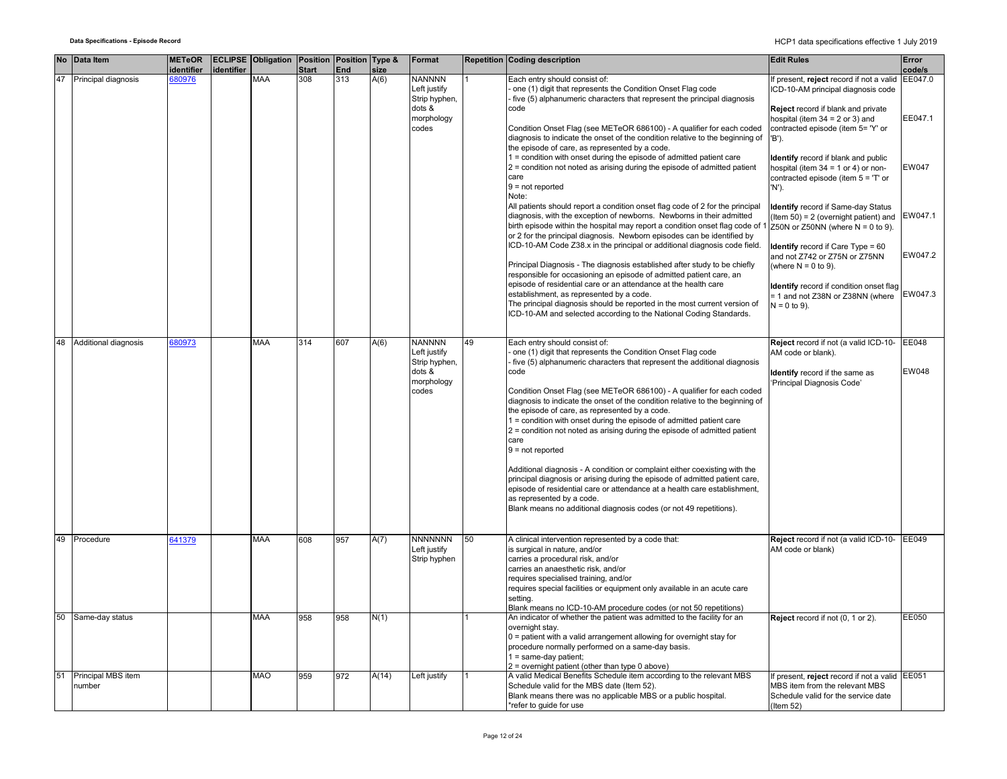|    | No Data Item                    | <b>METeOR</b><br>identifier | identifier | <b>ECLIPSE Obligation Position Position Type &amp;</b> | Start | End | size  | Format                                         |    | <b>Repetition Coding description</b>                                                                                                                                                                                                                                                                                                                                                                | <b>Edit Rules</b>                                                                                                                                                     | Error<br>code/s |
|----|---------------------------------|-----------------------------|------------|--------------------------------------------------------|-------|-----|-------|------------------------------------------------|----|-----------------------------------------------------------------------------------------------------------------------------------------------------------------------------------------------------------------------------------------------------------------------------------------------------------------------------------------------------------------------------------------------------|-----------------------------------------------------------------------------------------------------------------------------------------------------------------------|-----------------|
| 47 | Principal diagnosis             | 680976                      |            | MAA                                                    | 308   | 313 | A(6)  | <b>NANNNN</b><br>Left justify<br>Strip hyphen, |    | Each entry should consist of:<br>one (1) digit that represents the Condition Onset Flag code<br>five (5) alphanumeric characters that represent the principal diagnosis                                                                                                                                                                                                                             | f present, reject record if not a valid<br>ICD-10-AM principal diagnosis code                                                                                         | EE047.0         |
|    |                                 |                             |            |                                                        |       |     |       | dots &<br>morphology<br>codes                  |    | code<br>Condition Onset Flag (see METeOR 686100) - A qualifier for each coded<br>diagnosis to indicate the onset of the condition relative to the beginning of<br>the episode of care, as represented by a code.                                                                                                                                                                                    | <b>Reject</b> record if blank and private<br>hospital (item $34 = 2$ or 3) and<br>contracted episode (item 5= 'Y' or<br>'B').                                         | EE047.1         |
|    |                                 |                             |            |                                                        |       |     |       |                                                |    | 1 = condition with onset during the episode of admitted patient care<br>$2$ = condition not noted as arising during the episode of admitted patient<br>care<br>$9 = not reported$<br>Note:                                                                                                                                                                                                          | <b>Identify</b> record if blank and public<br>hospital (item $34 = 1$ or 4) or non-<br>contracted episode (item $5 = T$ or<br>'N').                                   | EW047           |
|    |                                 |                             |            |                                                        |       |     |       |                                                |    | All patients should report a condition onset flag code of 2 for the principal<br>diagnosis, with the exception of newborns. Newborns in their admitted<br>birth episode within the hospital may report a condition onset flag code of<br>or 2 for the principal diagnosis. Newborn episodes can be identified by<br>ICD-10-AM Code Z38.x in the principal or additional diagnosis code field.       | <b>Identify</b> record if Same-day Status<br>(Item 50) = 2 (overnight patient) and<br>Z50N or Z50NN (where $N = 0$ to 9).<br><b>Identify</b> record if Care Type = 60 | EW047.1         |
|    |                                 |                             |            |                                                        |       |     |       |                                                |    | Principal Diagnosis - The diagnosis established after study to be chiefly<br>responsible for occasioning an episode of admitted patient care, an                                                                                                                                                                                                                                                    | and not Z742 or Z75N or Z75NN<br>(where $N = 0$ to 9).                                                                                                                | EW047.2         |
|    |                                 |                             |            |                                                        |       |     |       |                                                |    | episode of residential care or an attendance at the health care<br>establishment, as represented by a code.<br>The principal diagnosis should be reported in the most current version of<br>ICD-10-AM and selected according to the National Coding Standards.                                                                                                                                      | Identify record if condition onset flag<br>= 1 and not Z38N or Z38NN (where<br>$N = 0$ to 9).                                                                         | EW047.3         |
|    | 48 Additional diagnosis         | 80973                       |            | MAA                                                    | 314   | 607 | A(6)  | <b>NANNNN</b><br>Left justify<br>Strip hyphen, | 49 | Each entry should consist of:<br>one (1) digit that represents the Condition Onset Flag code<br>five (5) alphanumeric characters that represent the additional diagnosis                                                                                                                                                                                                                            | Reject record if not (a valid ICD-10-<br>AM code or blank).                                                                                                           | EE048           |
|    |                                 |                             |            |                                                        |       |     |       | dots &<br>morphology<br>codes                  |    | code<br>Condition Onset Flag (see METeOR 686100) - A qualifier for each coded<br>diagnosis to indicate the onset of the condition relative to the beginning of<br>the episode of care, as represented by a code.<br>1 = condition with onset during the episode of admitted patient care<br>2 = condition not noted as arising during the episode of admitted patient<br>care<br>$9 = not reported$ | <b>Identify</b> record if the same as<br>'Principal Diagnosis Code'                                                                                                   | EW048           |
|    |                                 |                             |            |                                                        |       |     |       |                                                |    | Additional diagnosis - A condition or complaint either coexisting with the<br>principal diagnosis or arising during the episode of admitted patient care,<br>episode of residential care or attendance at a health care establishment,<br>as represented by a code.<br>Blank means no additional diagnosis codes (or not 49 repetitions).                                                           |                                                                                                                                                                       |                 |
|    | 49 Procedure                    | 641379                      |            | MAA                                                    | 608   | 957 | A(7)  | <b>NNNNNNN</b><br>Left justify<br>Strip hyphen | 50 | A clinical intervention represented by a code that:<br>is surgical in nature, and/or<br>carries a procedural risk, and/or<br>carries an anaesthetic risk, and/or<br>requires specialised training, and/or<br>requires special facilities or equipment only available in an acute care<br>settina.<br>Blank means no ICD-10-AM procedure codes (or not 50 repetitions)                               | Reject record if not (a valid ICD-10- EE049<br>AM code or blank)                                                                                                      |                 |
| 50 | Same-day status                 |                             |            | MAA                                                    | 958   | 958 | N(1)  |                                                |    | An indicator of whether the patient was admitted to the facility for an<br>overnight stay.<br>0 = patient with a valid arrangement allowing for overnight stay for<br>procedure normally performed on a same-day basis.<br>$1 = same-day patient;$<br>2 = overnight patient (other than type 0 above)                                                                                               | Reject record if not (0, 1 or 2).                                                                                                                                     | EE050           |
|    | 51 Principal MBS item<br>number |                             |            | MAO                                                    | 959   | 972 | A(14) | Left justify                                   |    | A valid Medical Benefits Schedule item according to the relevant MBS<br>Schedule valid for the MBS date (Item 52).<br>Blank means there was no applicable MBS or a public hospital.<br>*refer to guide for use                                                                                                                                                                                      | f present, reject record if not a valid EE051<br>MBS item from the relevant MBS<br>Schedule valid for the service date<br>$($ ltem 52 $)$                             |                 |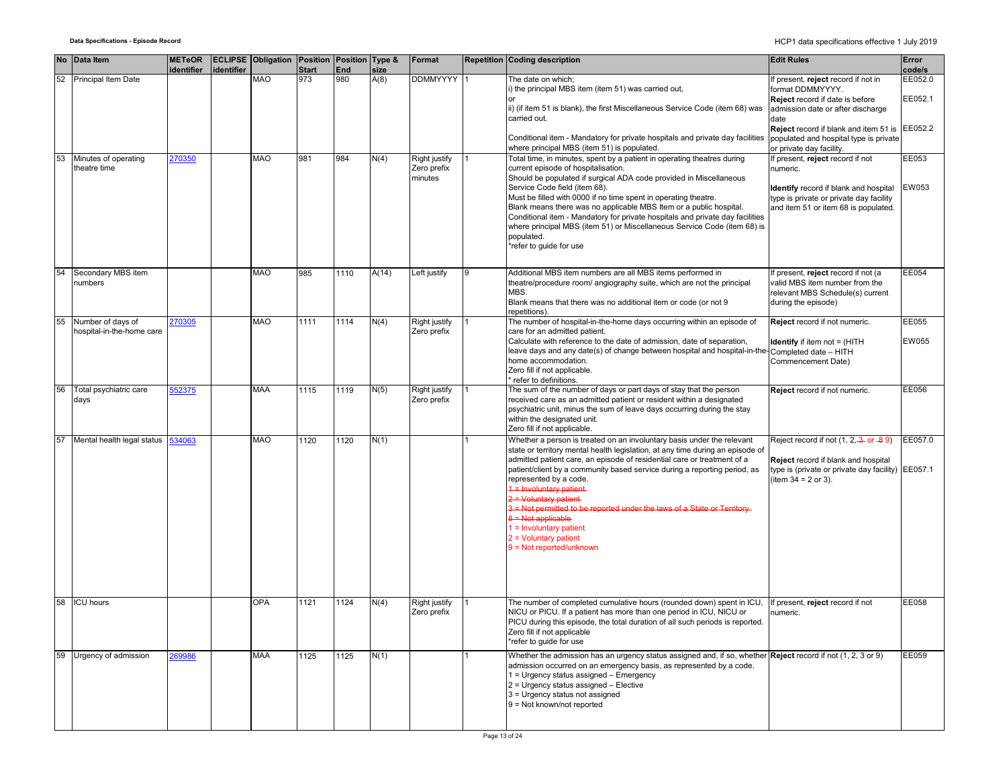|    | No Data Item                                   | <b>METeOR</b> |            | <b>ECLIPSE Obligation Position Position Type &amp;</b> |                     |            |              | Format                                  |   | <b>Repetition Coding description</b>                                                                                                                                                                                                                                                                                                                                                                                                                                                                                                                                                    | <b>Edit Rules</b>                                                                                                                                                        | Error              |
|----|------------------------------------------------|---------------|------------|--------------------------------------------------------|---------------------|------------|--------------|-----------------------------------------|---|-----------------------------------------------------------------------------------------------------------------------------------------------------------------------------------------------------------------------------------------------------------------------------------------------------------------------------------------------------------------------------------------------------------------------------------------------------------------------------------------------------------------------------------------------------------------------------------------|--------------------------------------------------------------------------------------------------------------------------------------------------------------------------|--------------------|
|    | 52 Principal Item Date                         | identifier    | identifier | <b>MAO</b>                                             | <b>Start</b><br>973 | End<br>980 | size<br>A(8) | <b>DDMMYYYY</b>                         |   | The date on which;                                                                                                                                                                                                                                                                                                                                                                                                                                                                                                                                                                      | If present, reject record if not in                                                                                                                                      | code/s<br>EE052.0  |
|    |                                                |               |            |                                                        |                     |            |              |                                         |   | i) the principal MBS item (item 51) was carried out,<br>ii) (if item 51 is blank), the first Miscellaneous Service Code (item 68) was<br>carried out.                                                                                                                                                                                                                                                                                                                                                                                                                                   | format DDMMYYYY.<br>Reject record if date is before<br>admission date or after discharge<br>date                                                                         | EE052.1            |
|    |                                                |               |            |                                                        |                     |            |              |                                         |   | Conditional item - Mandatory for private hospitals and private day facilities<br>where principal MBS (item 51) is populated.                                                                                                                                                                                                                                                                                                                                                                                                                                                            | Reject record if blank and item 51 is<br>populated and hospital type is private<br>or private day facility.                                                              | EE052.2            |
| 53 | Minutes of operating<br>theatre time           | 270350        |            | <b>MAO</b>                                             | 981                 | 984        | N(4)         | Right justify<br>Zero prefix<br>minutes |   | Total time, in minutes, spent by a patient in operating theatres during<br>current episode of hospitalisation.<br>Should be populated if surgical ADA code provided in Miscellaneous<br>Service Code field (item 68).<br>Must be filled with 0000 if no time spent in operating theatre.<br>Blank means there was no applicable MBS Item or a public hospital.<br>Conditional item - Mandatory for private hospitals and private day facilities<br>where principal MBS (item 51) or Miscellaneous Service Code (item 68) is<br>populated.<br>*refer to guide for use                    | If present, reject record if not<br>numeric.<br>Identify record if blank and hospital<br>type is private or private day facility<br>and item 51 or item 68 is populated. | EE053<br>EW053     |
| 54 | Secondary MBS item<br>numbers                  |               |            | <b>MAO</b>                                             | 985                 | 1110       | A(14)        | Left justify                            | 9 | Additional MBS item numbers are all MBS items performed in<br>theatre/procedure room/ angiography suite, which are not the principal<br>MBS.<br>Blank means that there was no additional item or code (or not 9<br>epetitions)                                                                                                                                                                                                                                                                                                                                                          | If present, reject record if not (a<br>valid MBS item number from the<br>relevant MBS Schedule(s) current<br>during the episode)                                         | EE054              |
| 55 | Number of days of<br>hospital-in-the-home care | 270305        |            | MAO                                                    | 1111                | 1114       | N(4)         | Right justify<br>Zero prefix            |   | The number of hospital-in-the-home days occurring within an episode of<br>care for an admitted patient.<br>Calculate with reference to the date of admission, date of separation,<br>leave days and any date(s) of change between hospital and hospital-in-the-Completed date - HITH<br>home accommodation.<br>Zero fill if not applicable.<br>refer to definitions.                                                                                                                                                                                                                    | Reject record if not numeric.<br><b>Identify</b> if item not = (HITH<br>Commencement Date)                                                                               | EE055<br>EW055     |
| 56 | Total psychiatric care<br>days                 | 552375        |            | MAA                                                    | 1115                | 1119       | N(5)         | Right justify<br>Zero prefix            |   | The sum of the number of days or part days of stay that the person<br>received care as an admitted patient or resident within a designated<br>psychiatric unit, minus the sum of leave days occurring during the stay<br>within the designated unit.<br>Zero fill if not applicable.                                                                                                                                                                                                                                                                                                    | Reject record if not numeric.                                                                                                                                            | EE056              |
| 57 | Mental health legal status                     | 534063        |            | <b>MAO</b>                                             | 1120                | 1120       | N(1)         |                                         |   | Whether a person is treated on an involuntary basis under the relevant<br>state or territory mental health legislation, at any time during an episode of<br>admitted patient care, an episode of residential care or treatment of a<br>patient/client by a community based service during a reporting period, as<br>represented by a code.<br>1 = Involuntary patient<br>2 = Voluntary patient-<br>3 = Not permitted to be reported under the laws of a State or Territory-<br>3 = Not applicable<br>$1 =$ Involuntary patient<br>$2 =$ Voluntary patient<br>$9 = Not reported/unknown$ | Reject record if not (1, 2, 3 or -89)<br>Reject record if blank and hospital<br>type is (private or private day facility)<br>(item $34 = 2$ or 3).                       | EE057.0<br>EE057.1 |
| 58 | <b>ICU hours</b>                               |               |            | <b>OPA</b>                                             | 1121                | 1124       | N(4)         | Right justify<br>Zero prefix            |   | The number of completed cumulative hours (rounded down) spent in ICU,<br>NICU or PICU. If a patient has more than one period in ICU, NICU or<br>PICU during this episode, the total duration of all such periods is reported.<br>Zero fill if not applicable<br>*refer to guide for use                                                                                                                                                                                                                                                                                                 | If present, reject record if not<br>numeric.                                                                                                                             | EE058              |
|    | 59 Urgency of admission                        | 269986        |            | <b>MAA</b>                                             | 1125                | 1125       | N(1)         |                                         |   | Whether the admission has an urgency status assigned and, if so, whether <b>Reject</b> record if not (1, 2, 3 or 9)<br>admission occurred on an emergency basis, as represented by a code.<br>1 = Urgency status assigned - Emergency<br>2 = Urgency status assigned - Elective<br>3 = Urgency status not assigned<br>9 = Not known/not reported                                                                                                                                                                                                                                        |                                                                                                                                                                          | EE059              |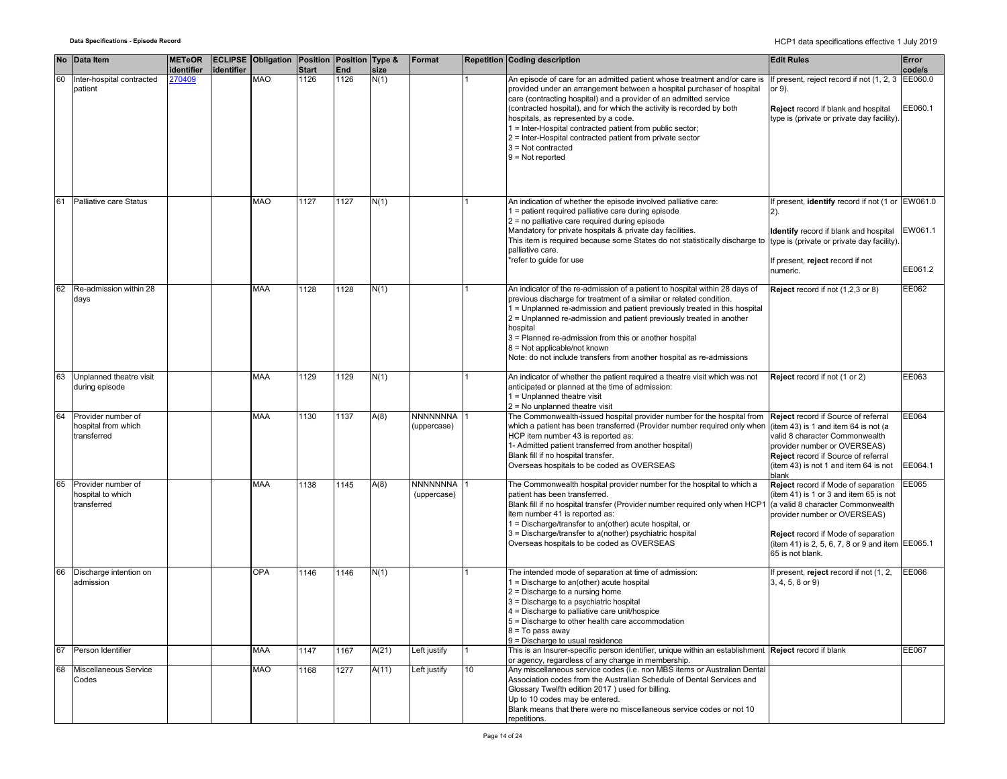|    | No Data Item                                             | <b>METeOR</b><br>identifier | identifier | <b>ECLIPSE Obligation Position Position Type &amp;</b> | <b>Start</b> | End  | size  | Format                         |                 | <b>Repetition Coding description</b>                                                                                                                                                                                                                                                                                                                                                                                                                                                                              | <b>Edit Rules</b>                                                                                                                                                                                                                                                 | Error<br>code/s    |
|----|----------------------------------------------------------|-----------------------------|------------|--------------------------------------------------------|--------------|------|-------|--------------------------------|-----------------|-------------------------------------------------------------------------------------------------------------------------------------------------------------------------------------------------------------------------------------------------------------------------------------------------------------------------------------------------------------------------------------------------------------------------------------------------------------------------------------------------------------------|-------------------------------------------------------------------------------------------------------------------------------------------------------------------------------------------------------------------------------------------------------------------|--------------------|
| 60 | Inter-hospital contracted<br>patient                     | 270409                      |            | <b>MAO</b>                                             | 1126         | 1126 | N(1)  |                                |                 | An episode of care for an admitted patient whose treatment and/or care is<br>provided under an arrangement between a hospital purchaser of hospital<br>care (contracting hospital) and a provider of an admitted service<br>(contracted hospital), and for which the activity is recorded by both<br>hospitals, as represented by a code.<br>1 = Inter-Hospital contracted patient from public sector;<br>2 = Inter-Hospital contracted patient from private sector<br>$3$ = Not contracted<br>$9 = Not reported$ | If present, reject record if not (1, 2, 3 EE060.0<br>or 9).<br>Reject record if blank and hospital<br>type is (private or private day facility).                                                                                                                  | EE060.1            |
| 61 | Palliative care Status                                   |                             |            | <b>MAO</b>                                             | 1127         | 1127 | N(1)  |                                |                 | An indication of whether the episode involved palliative care:<br>1 = patient required palliative care during episode<br>2 = no palliative care required during episode<br>Mandatory for private hospitals & private day facilities.<br>This item is required because some States do not statistically discharge to<br>palliative care.<br>refer to guide for use                                                                                                                                                 | If present, identify record if not (1 or EW061.0<br><b>Identify</b> record if blank and hospital<br>type is (private or private day facility).<br>If present, reject record if not<br>numeric.                                                                    | EW061.1<br>EE061.2 |
| 62 | Re-admission within 28<br>days                           |                             |            | <b>MAA</b>                                             | 1128         | 1128 | N(1)  |                                |                 | An indicator of the re-admission of a patient to hospital within 28 days of<br>previous discharge for treatment of a similar or related condition.<br>1 = Unplanned re-admission and patient previously treated in this hospital<br>2 = Unplanned re-admission and patient previously treated in another<br>hospital<br>3 = Planned re-admission from this or another hospital<br>$8 = Not applicable/not known$<br>Note: do not include transfers from another hospital as re-admissions                         | Reject record if not (1,2,3 or 8)                                                                                                                                                                                                                                 | EE062              |
|    | Unplanned theatre visit<br>during episode                |                             |            | <b>MAA</b>                                             | 1129         | 1129 | N(1)  |                                |                 | An indicator of whether the patient required a theatre visit which was not<br>anticipated or planned at the time of admission:<br>1 = Unplanned theatre visit<br>$2 = No$ unplanned theatre visit                                                                                                                                                                                                                                                                                                                 | Reject record if not (1 or 2)                                                                                                                                                                                                                                     | EE063              |
| 64 | Provider number of<br>hospital from which<br>transferred |                             |            | <b>MAA</b>                                             | 1130         | 1137 | A(8)  | <b>NNNNNNNA</b><br>(uppercase) |                 | The Commonwealth-issued hospital provider number for the hospital from<br>which a patient has been transferred (Provider number required only when<br>HCP item number 43 is reported as:<br>1- Admitted patient transferred from another hospital)<br>Blank fill if no hospital transfer.<br>Overseas hospitals to be coded as OVERSEAS                                                                                                                                                                           | Reject record if Source of referral<br>(item 43) is 1 and item 64 is not (a<br>valid 8 character Commonwealth<br>provider number or OVERSEAS)<br>Reject record if Source of referral<br>(item 43) is not 1 and item 64 is not<br>blank                            | EE064<br>EE064.1   |
| 65 | Provider number of<br>hospital to which<br>transferred   |                             |            | MAA                                                    | 1138         | 1145 | A(8)  | NNNNNNNA<br>(uppercase)        |                 | The Commonwealth hospital provider number for the hospital to which a<br>patient has been transferred.<br>Blank fill if no hospital transfer (Provider number required only when HCP1<br>item number 41 is reported as:<br>1 = Discharge/transfer to an(other) acute hospital, or<br>3 = Discharge/transfer to a(nother) psychiatric hospital<br>Overseas hospitals to be coded as OVERSEAS                                                                                                                       | Reject record if Mode of separation<br>(item 41) is 1 or 3 and item 65 is not<br>(a valid 8 character Commonwealth<br>provider number or OVERSEAS)<br>Reject record if Mode of separation<br>(item 41) is 2, 5, 6, 7, 8 or 9 and item EE065.1<br>65 is not blank. | EE065              |
|    | Discharge intention on<br>admission                      |                             |            | <b>OPA</b>                                             | 1146         | 1146 | N(1)  |                                |                 | The intended mode of separation at time of admission:<br>1 = Discharge to an(other) acute hospital<br>$2$ = Discharge to a nursing home<br>3 = Discharge to a psychiatric hospital<br>4 = Discharge to palliative care unit/hospice<br>5 = Discharge to other health care accommodation<br>$8 = To pass away$<br>9 = Discharge to usual residence                                                                                                                                                                 | If present, reject record if not (1, 2,<br>$3, 4, 5, 8$ or 9)                                                                                                                                                                                                     | EE066              |
| 67 | Person Identifier                                        |                             |            | MAA                                                    | 1147         | 1167 | A(21) | Left justify                   |                 | This is an Insurer-specific person identifier, unique within an establishment Reject record if blank<br>or agency, regardless of any change in membership.                                                                                                                                                                                                                                                                                                                                                        |                                                                                                                                                                                                                                                                   | EE067              |
| 68 | Miscellaneous Service<br>Codes                           |                             |            | <b>MAO</b>                                             | 1168         | 1277 | A(11) | Left justify                   | 10 <sup>°</sup> | Any miscellaneous service codes (i.e. non MBS items or Australian Dental<br>Association codes from the Australian Schedule of Dental Services and<br>Glossary Twelfth edition 2017) used for billing.<br>Up to 10 codes may be entered.<br>Blank means that there were no miscellaneous service codes or not 10<br>repetitions.                                                                                                                                                                                   |                                                                                                                                                                                                                                                                   |                    |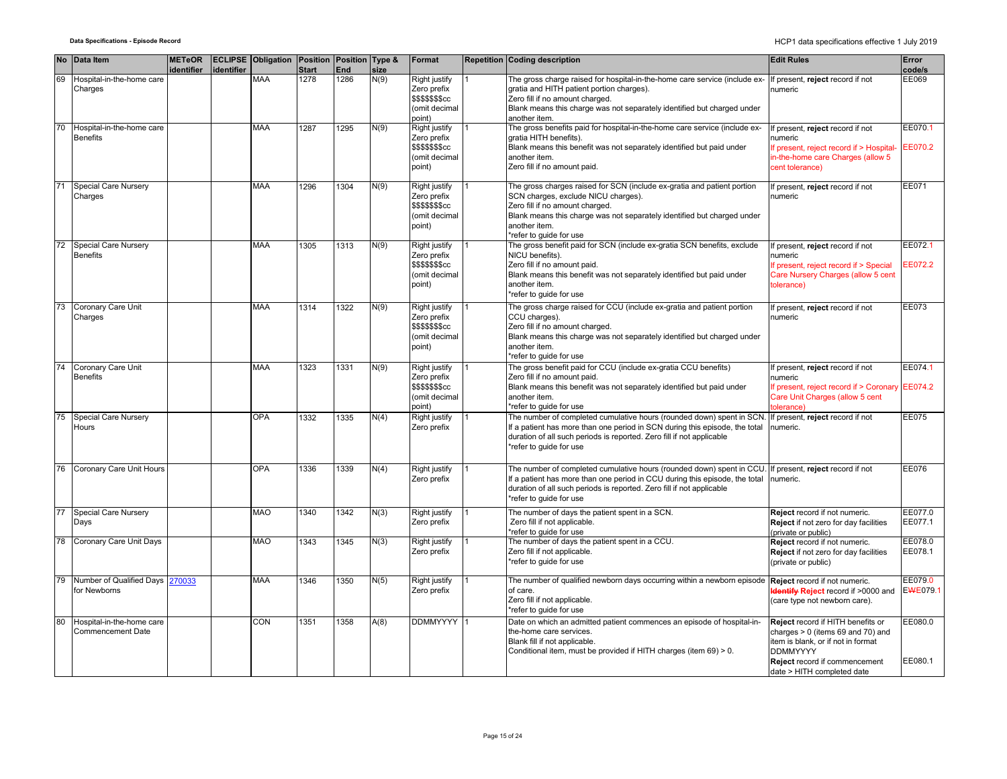|    | No Data Item                                          | <b>METeOR</b><br>identifier | identifier | <b>ECLIPSE Obligation Position Position Type &amp;</b> | Start | End  | size | Format                                                                                    | <b>Repetition Coding description</b>                                                                                                                                                                                                                                                    | <b>Edit Rules</b>                                                                                                                                                                                | Error<br>code/s     |
|----|-------------------------------------------------------|-----------------------------|------------|--------------------------------------------------------|-------|------|------|-------------------------------------------------------------------------------------------|-----------------------------------------------------------------------------------------------------------------------------------------------------------------------------------------------------------------------------------------------------------------------------------------|--------------------------------------------------------------------------------------------------------------------------------------------------------------------------------------------------|---------------------|
| 69 | Hospital-in-the-home care<br>Charges                  |                             |            | <b>MAA</b>                                             | 1278  | 1286 | N(9) | <b>Right justify</b><br>Zero prefix<br>\$\$\$\$\$\$\$cc<br>(omit decimal<br>point)        | The gross charge raised for hospital-in-the-home care service (include ex- If present, reject record if not<br>gratia and HITH patient portion charges).<br>Zero fill if no amount charged.<br>Blank means this charge was not separately identified but charged under<br>another item. | numeric                                                                                                                                                                                          | EE069               |
| 70 | Hospital-in-the-home care<br><b>Benefits</b>          |                             |            | MAA                                                    | 1287  | 1295 | N(9) | Right justify<br>Zero prefix<br>\$\$\$\$\$\$\$cc<br>(omit decimal<br>point)               | The gross benefits paid for hospital-in-the-home care service (include ex-<br>gratia HITH benefits).<br>Blank means this benefit was not separately identified but paid under<br>another item.<br>Zero fill if no amount paid.                                                          | f present, reject record if not<br>numeric<br>If present, reject record if > Hospital-<br>in-the-home care Charges (allow 5<br>cent tolerance)                                                   | EE070.1<br>EE070.2  |
| 71 | <b>Special Care Nursery</b><br>Charges                |                             |            | MAA                                                    | 1296  | 1304 | N(9) | Right justify<br>Zero prefix<br>\$\$\$\$\$\$\$cc<br>(omit decimal<br>point)               | The gross charges raised for SCN (include ex-gratia and patient portion<br>SCN charges, exclude NICU charges).<br>Zero fill if no amount charged.<br>Blank means this charge was not separately identified but charged under<br>another item.<br>refer to quide for use                 | f present, reject record if not<br>numeric                                                                                                                                                       | EE071               |
| 72 | Special Care Nursery<br><b>Benefits</b>               |                             |            | <b>MAA</b>                                             | 1305  | 1313 | N(9) | <b>Right justify</b><br>Zero prefix<br><b>\$\$\$\$\$\$\$cc</b><br>(omit decimal<br>point) | The gross benefit paid for SCN (include ex-gratia SCN benefits, exclude<br>NICU benefits).<br>Zero fill if no amount paid.<br>Blank means this benefit was not separately identified but paid under<br>another item.<br>*refer to quide for use                                         | If present, reject record if not<br>numeric<br>If present, reject record if > Special<br>Care Nursery Charges (allow 5 cent<br>tolerance)                                                        | EE072.1<br>EE072.2  |
| 73 | Coronary Care Unit<br>Charges                         |                             |            | <b>MAA</b>                                             | 1314  | 1322 | N(9) | <b>Right justify</b><br>Zero prefix<br>\$\$\$\$\$\$\$cc<br>(omit decimal<br>point)        | The gross charge raised for CCU (include ex-gratia and patient portion<br>CCU charges).<br>Zero fill if no amount charged.<br>Blank means this charge was not separately identified but charged under<br>another item.<br>*refer to guide for use                                       | If present, reject record if not<br>numeric                                                                                                                                                      | EE073               |
| 74 | Coronary Care Unit<br><b>Benefits</b>                 |                             |            | <b>MAA</b>                                             | 1323  | 1331 | N(9) | Right justify<br>Zero prefix<br>\$\$\$\$\$\$\$cc<br>(omit decimal<br>point)               | The gross benefit paid for CCU (include ex-gratia CCU benefits)<br>Zero fill if no amount paid.<br>Blank means this benefit was not separately identified but paid under<br>another item.<br>*refer to guide for use                                                                    | If present, reject record if not<br>numeric<br>If present, reject record if > Coronary EE074.2<br>Care Unit Charges (allow 5 cent<br>tolerance)                                                  | EE074.1             |
| 75 | Special Care Nursery<br>Hours                         |                             |            | OPA                                                    | 1332  | 1335 | N(4) | Right justify<br>Zero prefix                                                              | The number of completed cumulative hours (rounded down) spent in SCN.<br>If a patient has more than one period in SCN during this episode, the total<br>duration of all such periods is reported. Zero fill if not applicable<br>*refer to guide for use                                | If present, reject record if not<br>numeric.                                                                                                                                                     | <b>EE075</b>        |
| 76 | Coronary Care Unit Hours                              |                             |            | <b>OPA</b>                                             | 1336  | 1339 | N(4) | Right justify<br>Zero prefix                                                              | The number of completed cumulative hours (rounded down) spent in CCU.<br>If a patient has more than one period in CCU during this episode, the total<br>duration of all such periods is reported. Zero fill if not applicable<br>*refer to guide for use                                | If present, reject record if not<br>numeric.                                                                                                                                                     | EE076               |
| 77 | <b>Special Care Nursery</b><br>Days                   |                             |            | MAO                                                    | 1340  | 1342 | N(3) | <b>Right justify</b><br>Zero prefix                                                       | The number of days the patient spent in a SCN.<br>Zero fill if not applicable.<br>*refer to guide for use                                                                                                                                                                               | Reject record if not numeric.<br>Reject if not zero for day facilities<br>(private or public)                                                                                                    | EE077.0<br>EE077.1  |
| 78 | Coronary Care Unit Days                               |                             |            | MAO                                                    | 1343  | 1345 | N(3) | <b>Right justify</b><br>Zero prefix                                                       | The number of days the patient spent in a CCU.<br>Zero fill if not applicable.<br>*refer to guide for use                                                                                                                                                                               | Reject record if not numeric.<br>Reject if not zero for day facilities<br>(private or public)                                                                                                    | EE078.0<br>EE078.1  |
| 79 | Number of Qualified Days 270033<br>for Newborns       |                             |            | <b>MAA</b>                                             | 1346  | 1350 | N(5) | <b>Right justify</b><br>Zero prefix                                                       | The number of qualified newborn days occurring within a newborn episode Reject record if not numeric.<br>of care.<br>Zero fill if not applicable.<br>*refer to quide for use                                                                                                            | <b>Identify Reject</b> record if >0000 and<br>(care type not newborn care).                                                                                                                      | EE079.0<br>EWE079.1 |
| 80 | Hospital-in-the-home care<br><b>Commencement Date</b> |                             |            | CON                                                    | 1351  | 1358 | A(8) | <b>DDMMYYYY</b>                                                                           | Date on which an admitted patient commences an episode of hospital-in-<br>the-home care services.<br>Blank fill if not applicable.<br>Conditional item, must be provided if HITH charges (item 69) > 0.                                                                                 | Reject record if HITH benefits or<br>charges $> 0$ (items 69 and 70) and<br>item is blank, or if not in format<br><b>DDMMYYYY</b><br>Reject record if commencement<br>date > HITH completed date | EE080.0<br>EE080.1  |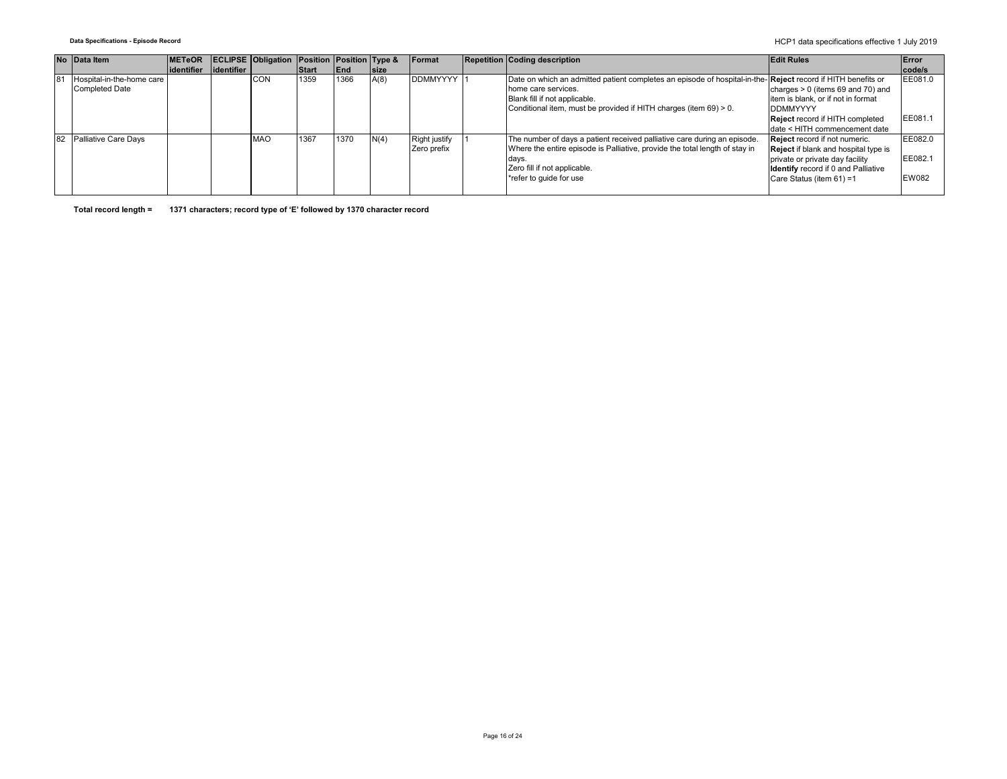**Data Specifications - Episode Record** HCP1 data specifications effective 1 July 2019

|                | No Data Item              | <b>METeOR</b>             | <b>ECLIPSE Obligation Position Position Type &amp;</b> |               |            |             | <b>Format</b>        | <b>Repetition Coding description</b>                                                                                | <b>Edit Rules</b>                           | Error        |
|----------------|---------------------------|---------------------------|--------------------------------------------------------|---------------|------------|-------------|----------------------|---------------------------------------------------------------------------------------------------------------------|---------------------------------------------|--------------|
|                |                           | lidentifier lidentifier l |                                                        | <b>IStart</b> | <b>End</b> | <b>Size</b> |                      |                                                                                                                     |                                             | code/s       |
| 8 <sup>7</sup> | Hospital-in-the-home care |                           | <b>CON</b>                                             | 1359          | 1366       | A(8)        | <b>DDMMYYYY</b>      | Date on which an admitted patient completes an episode of hospital-in-the- <b>Reject</b> record if HITH benefits or |                                             | EE081.0      |
|                | <b>Completed Date</b>     |                           |                                                        |               |            |             |                      | home care services.                                                                                                 | charges $> 0$ (items 69 and 70) and         |              |
|                |                           |                           |                                                        |               |            |             |                      | Blank fill if not applicable.                                                                                       | item is blank, or if not in format          |              |
|                |                           |                           |                                                        |               |            |             |                      | Conditional item, must be provided if HITH charges (item 69) > 0.                                                   | <b>DDMMYYYY</b>                             |              |
|                |                           |                           |                                                        |               |            |             |                      |                                                                                                                     | <b>Reject</b> record if HITH completed      | EE081.       |
|                |                           |                           |                                                        |               |            |             |                      |                                                                                                                     | date < HITH commencement date               |              |
| 82             | Palliative Care Days      |                           | <b>MAO</b>                                             | 1367          | 1370       | N(4)        | <b>Right justify</b> | The number of days a patient received palliative care during an episode.                                            | <b>Reject</b> record if not numeric.        | EE082.0      |
|                |                           |                           |                                                        |               |            |             | Zero prefix          | Where the entire episode is Palliative, provide the total length of stay in                                         | <b>Reject</b> if blank and hospital type is |              |
|                |                           |                           |                                                        |               |            |             |                      | days.                                                                                                               | private or private day facility             | EE082.       |
|                |                           |                           |                                                        |               |            |             |                      | Zero fill if not applicable.                                                                                        | <b>Identify</b> record if 0 and Palliative  |              |
|                |                           |                           |                                                        |               |            |             |                      | *refer to quide for use                                                                                             | Care Status (item 61) =1                    | <b>EW082</b> |
|                |                           |                           |                                                        |               |            |             |                      |                                                                                                                     |                                             |              |

**Total record length = 1371 characters; record type of 'E' followed by 1370 character record**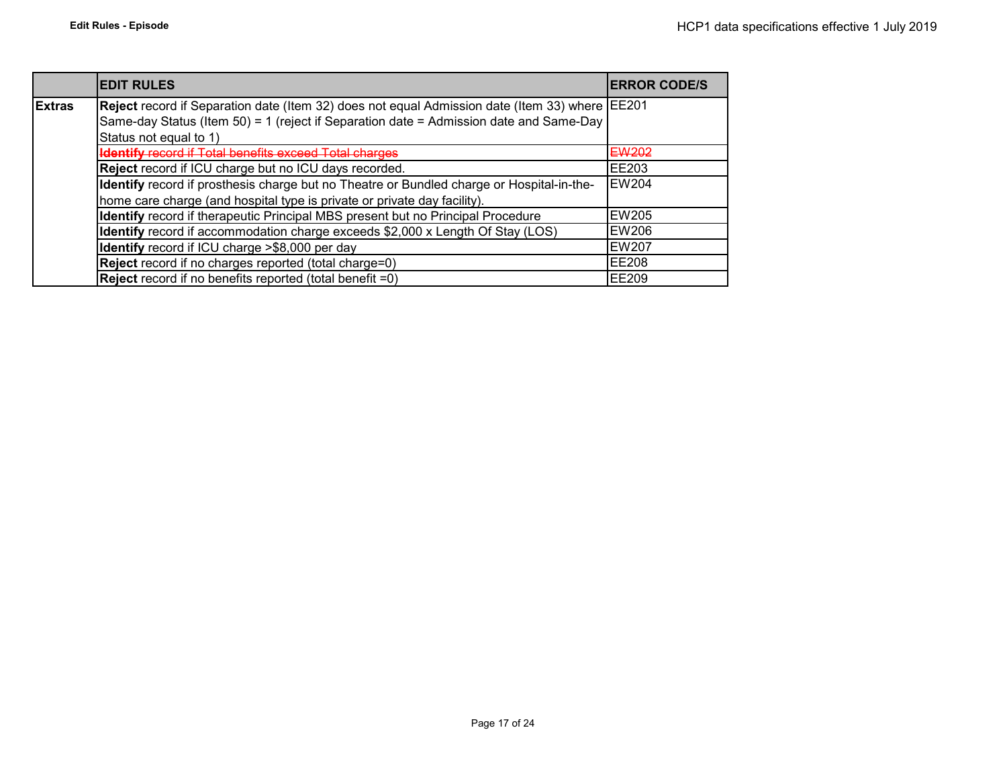|               | <b>EDIT RULES</b>                                                                              | <b>IERROR CODE/S</b> |
|---------------|------------------------------------------------------------------------------------------------|----------------------|
| <b>Extras</b> | Reject record if Separation date (Item 32) does not equal Admission date (Item 33) where EE201 |                      |
|               | Same-day Status (Item 50) = 1 (reject if Separation date = Admission date and Same-Day         |                      |
|               | Status not equal to 1)                                                                         |                      |
|               | <b>Identify record if Total benefits exceed Total charges</b>                                  | EW202                |
|               | Reject record if ICU charge but no ICU days recorded.                                          | <b>EE203</b>         |
|               | Identify record if prosthesis charge but no Theatre or Bundled charge or Hospital-in-the-      | <b>EW204</b>         |
|               | home care charge (and hospital type is private or private day facility).                       |                      |
|               | Identify record if therapeutic Principal MBS present but no Principal Procedure                | <b>EW205</b>         |
|               | Identify record if accommodation charge exceeds \$2,000 x Length Of Stay (LOS)                 | EW206                |
|               | <b>Identify</b> record if ICU charge >\$8,000 per day                                          | <b>EW207</b>         |
|               | Reject record if no charges reported (total charge=0)                                          | <b>EE208</b>         |
|               | <b>Reject</b> record if no benefits reported (total benefit $=0$ )                             | <b>IEE209</b>        |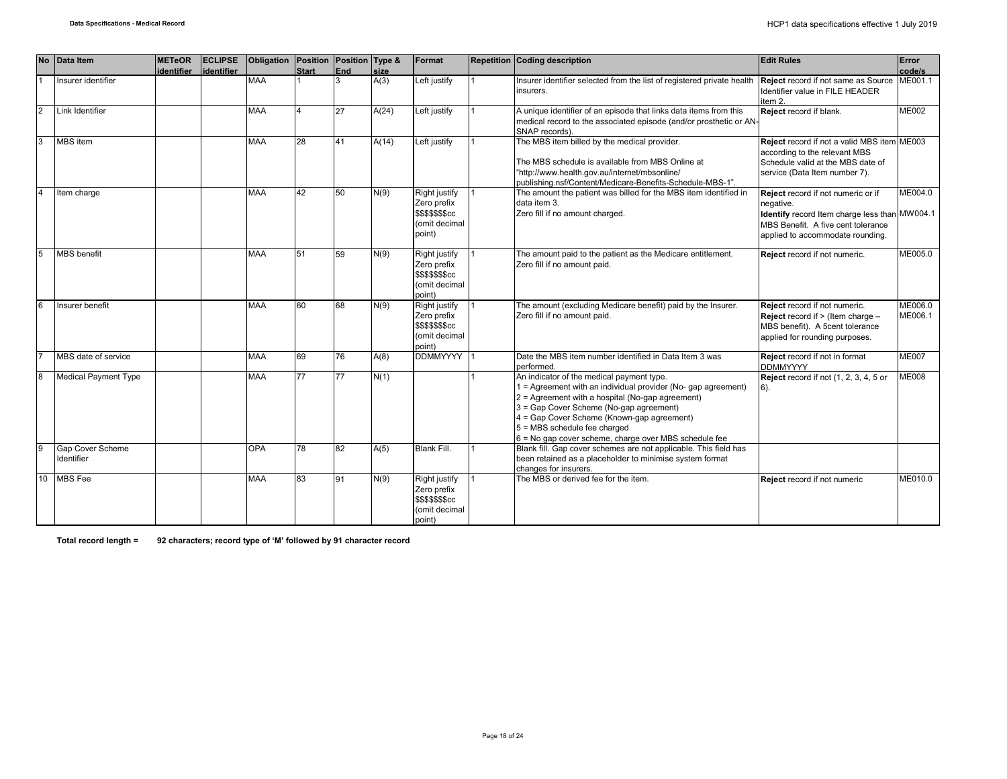|                | No Data Item                          | <b>METeOR</b><br>identifier | <b>ECLIPSE</b> | Obligation Position Position Type & |              | End |              | Format                                                                                    | Repetition Coding description                                                                                                                                                                                                                                                                                                                      | <b>Edit Rules</b>                                                                                                                                                          | Error              |
|----------------|---------------------------------------|-----------------------------|----------------|-------------------------------------|--------------|-----|--------------|-------------------------------------------------------------------------------------------|----------------------------------------------------------------------------------------------------------------------------------------------------------------------------------------------------------------------------------------------------------------------------------------------------------------------------------------------------|----------------------------------------------------------------------------------------------------------------------------------------------------------------------------|--------------------|
|                | Insurer identifier                    |                             | identifier     | <b>MAA</b>                          | <b>Start</b> |     | size<br>A(3) | Left justify                                                                              | Insurer identifier selected from the list of registered private health<br>insurers.                                                                                                                                                                                                                                                                | Reject record if not same as Source ME001.1<br>Identifier value in FILE HEADER<br>item 2.                                                                                  | code/s             |
| $\overline{c}$ | Link Identifier                       |                             |                | <b>MAA</b>                          |              | 27  | A(24)        | Left justify                                                                              | A unique identifier of an episode that links data items from this<br>medical record to the associated episode (and/or prosthetic or AN-<br>SNAP records)                                                                                                                                                                                           | Reject record if blank.                                                                                                                                                    | <b>ME002</b>       |
| $\mathbf{R}$   | MBS item                              |                             |                | <b>MAA</b>                          | 28           | 41  | A(14)        | Left justify                                                                              | The MBS item billed by the medical provider.<br>The MBS schedule is available from MBS Online at<br>"http://www.health.gov.au/internet/mbsonline/<br>publishing.nsf/Content/Medicare-Benefits-Schedule-MBS-1".                                                                                                                                     | Reject record if not a valid MBS item ME003<br>according to the relevant MBS<br>Schedule valid at the MBS date of<br>service (Data Item number 7).                         |                    |
|                | Item charge                           |                             |                | <b>MAA</b>                          | 42           | 50  | N(9)         | <b>Right justify</b><br>Zero prefix<br><b>\$\$\$\$\$\$\$cc</b><br>(omit decimal<br>point) | The amount the patient was billed for the MBS item identified in<br>data item 3.<br>Zero fill if no amount charged.                                                                                                                                                                                                                                | Reject record if not numeric or if<br>negative.<br>Identify record Item charge less than MW004.1<br>MBS Benefit. A five cent tolerance<br>applied to accommodate rounding. | ME004.0            |
|                | <b>MBS</b> benefit                    |                             |                | <b>MAA</b>                          | 51           | 59  | N(9)         | <b>Right justify</b><br>Zero prefix<br>\$\$\$\$\$\$\$cc<br>(omit decimal<br>point)        | The amount paid to the patient as the Medicare entitlement.<br>Zero fill if no amount paid.                                                                                                                                                                                                                                                        | Reject record if not numeric.                                                                                                                                              | ME005.0            |
| 6              | Insurer benefit                       |                             |                | <b>MAA</b>                          | 60           | 68  | N(9)         | Right justify<br>Zero prefix<br><b>\$\$\$\$\$\$\$cc</b><br>(omit decimal<br>point)        | The amount (excluding Medicare benefit) paid by the Insurer.<br>Zero fill if no amount paid.                                                                                                                                                                                                                                                       | Reject record if not numeric.<br><b>Reject</b> record if $>$ (Item charge $-$<br>MBS benefit). A 5cent tolerance<br>applied for rounding purposes.                         | ME006.0<br>ME006.1 |
|                | MBS date of service                   |                             |                | <b>MAA</b>                          | 69           | 76  | A(8)         | DDMMYYYY 1                                                                                | Date the MBS item number identified in Data Item 3 was<br>performed.                                                                                                                                                                                                                                                                               | Reject record if not in format<br><b>DDMMYYYY</b>                                                                                                                          | <b>ME007</b>       |
| 8              | <b>Medical Payment Type</b>           |                             |                | <b>MAA</b>                          | 77           | 77  | N(1)         |                                                                                           | An indicator of the medical payment type.<br>1 = Agreement with an individual provider (No- gap agreement)<br>$2$ = Agreement with a hospital (No-gap agreement)<br>3 = Gap Cover Scheme (No-gap agreement)<br>4 = Gap Cover Scheme (Known-gap agreement)<br>5 = MBS schedule fee charged<br>6 = No gap cover scheme, charge over MBS schedule fee | <b>Reject</b> record if not (1, 2, 3, 4, 5 or<br>$6$ ).                                                                                                                    | <b>ME008</b>       |
| 9              | <b>Gap Cover Scheme</b><br>Identifier |                             |                | <b>OPA</b>                          | 78           | 82  | A(5)         | Blank Fill.                                                                               | Blank fill. Gap cover schemes are not applicable. This field has<br>been retained as a placeholder to minimise system format<br>changes for insurers.                                                                                                                                                                                              |                                                                                                                                                                            |                    |
| 10             | <b>MBS</b> Fee                        |                             |                | <b>MAA</b>                          | 83           | 91  | N(9)         | <b>Right justify</b><br>Zero prefix<br>\$\$\$\$\$\$\$cc<br>(omit decimal<br>point)        | The MBS or derived fee for the item.                                                                                                                                                                                                                                                                                                               | Reject record if not numeric                                                                                                                                               | ME010.0            |

**Total record length = 92 characters; record type of 'M' followed by 91 character record**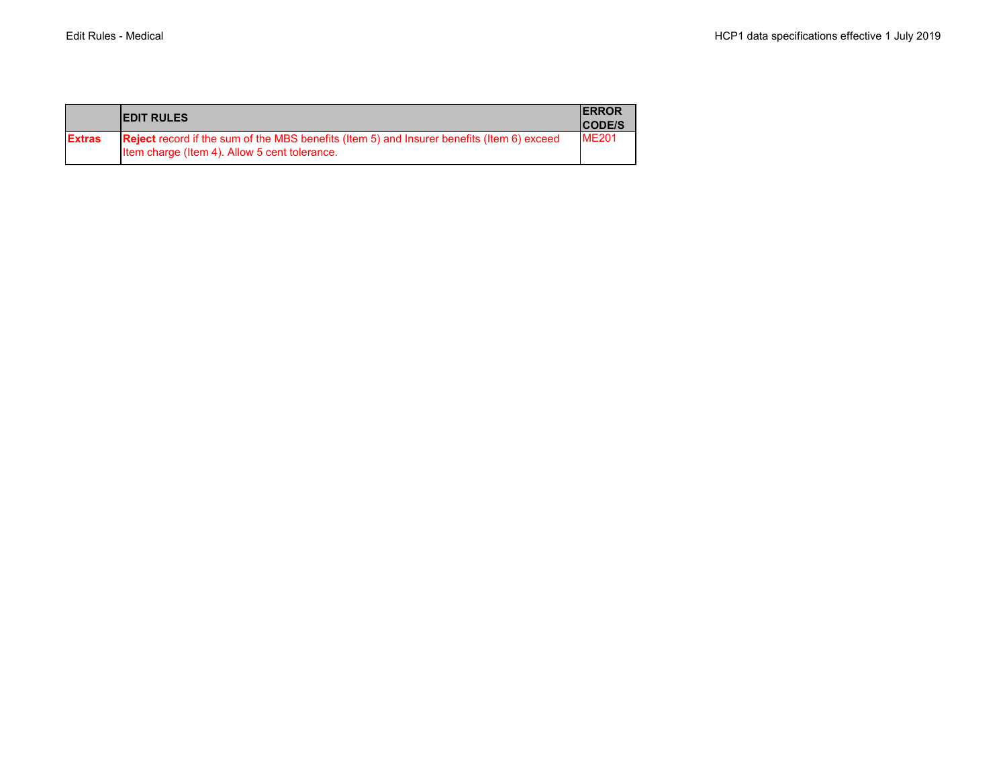|               | <b>IEDIT RULES</b>                                                                                                                                 | <b>IERROR</b><br><b>ICODE/S</b> |
|---------------|----------------------------------------------------------------------------------------------------------------------------------------------------|---------------------------------|
| <b>Extras</b> | <b>Reject</b> record if the sum of the MBS benefits (Item 5) and Insurer benefits (Item 6) exceed<br>Item charge (Item 4). Allow 5 cent tolerance. | <b>ME201</b>                    |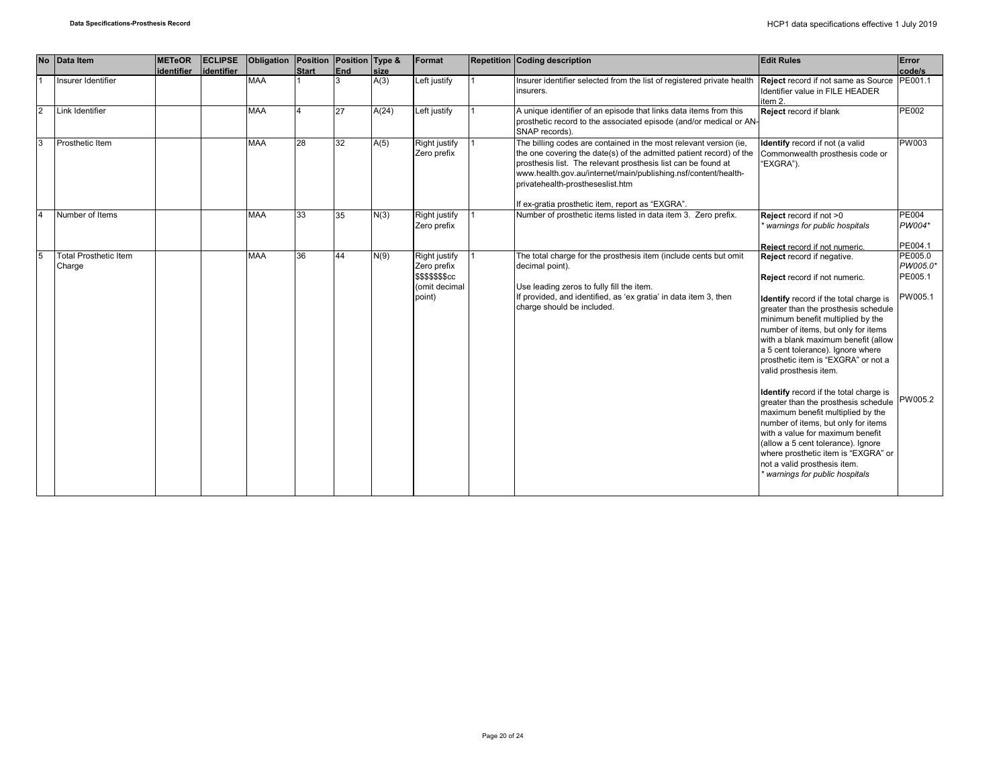|                | No Data Item                           | <b>METeOR</b><br>identifier | <b>ECLIPSE</b><br>identifier | Obligation | Position Position Type &<br><b>Start</b> | End | <b>size</b> | Format                                                                             | Repetition Coding description                                                                                                                                                                                                                                                                                                                                       | <b>Edit Rules</b>                                                                                                                                                                                                                                                                                                                                                                                                                                                                                                                                                                                                                                                                                                              | Error<br>code/s                           |
|----------------|----------------------------------------|-----------------------------|------------------------------|------------|------------------------------------------|-----|-------------|------------------------------------------------------------------------------------|---------------------------------------------------------------------------------------------------------------------------------------------------------------------------------------------------------------------------------------------------------------------------------------------------------------------------------------------------------------------|--------------------------------------------------------------------------------------------------------------------------------------------------------------------------------------------------------------------------------------------------------------------------------------------------------------------------------------------------------------------------------------------------------------------------------------------------------------------------------------------------------------------------------------------------------------------------------------------------------------------------------------------------------------------------------------------------------------------------------|-------------------------------------------|
|                | Insurer Identifier                     |                             |                              | <b>MAA</b> |                                          |     | A(3)        | Left justify                                                                       | Insurer identifier selected from the list of registered private health <b>Reject</b> record if not same as Source <b>PE001.1</b><br>insurers.                                                                                                                                                                                                                       | Identifier value in FILE HEADER<br>item 2.                                                                                                                                                                                                                                                                                                                                                                                                                                                                                                                                                                                                                                                                                     |                                           |
| $\overline{2}$ | Link Identifier                        |                             |                              | <b>MAA</b> |                                          | 27  | A(24)       | Left justify                                                                       | A unique identifier of an episode that links data items from this<br>prosthetic record to the associated episode (and/or medical or AN-<br>SNAP records).                                                                                                                                                                                                           | Reject record if blank                                                                                                                                                                                                                                                                                                                                                                                                                                                                                                                                                                                                                                                                                                         | <b>PE002</b>                              |
| 3              | Prosthetic Item                        |                             |                              | <b>MAA</b> | 28                                       | 32  | A(5)        | Right justify<br>Zero prefix                                                       | The billing codes are contained in the most relevant version (ie,<br>the one covering the date(s) of the admitted patient record) of the<br>prosthesis list. The relevant prosthesis list can be found at<br>www.health.gov.au/internet/main/publishing.nsf/content/health-<br>privatehealth-prostheseslist.htm<br>If ex-gratia prosthetic item, report as "EXGRA". | Identify record if not (a valid<br>Commonwealth prosthesis code or<br>"EXGRA").                                                                                                                                                                                                                                                                                                                                                                                                                                                                                                                                                                                                                                                | <b>PW003</b>                              |
| $\overline{4}$ | Number of Items                        |                             |                              | <b>MAA</b> | 33                                       | 35  | N(3)        | Right justify<br>Zero prefix                                                       | Number of prosthetic items listed in data item 3. Zero prefix.                                                                                                                                                                                                                                                                                                      | Reject record if not >0<br>warnings for public hospitals                                                                                                                                                                                                                                                                                                                                                                                                                                                                                                                                                                                                                                                                       | <b>PE004</b><br>PW004*                    |
|                |                                        |                             |                              |            |                                          |     |             |                                                                                    |                                                                                                                                                                                                                                                                                                                                                                     | Reject record if not numeric.                                                                                                                                                                                                                                                                                                                                                                                                                                                                                                                                                                                                                                                                                                  | PE004.1                                   |
| 5              | <b>Total Prosthetic Item</b><br>Charge |                             |                              | <b>MAA</b> | 36                                       | 44  | N(9)        | <b>Right justify</b><br>Zero prefix<br>\$\$\$\$\$\$\$cc<br>(omit decimal<br>point) | The total charge for the prosthesis item (include cents but omit<br>decimal point).<br>Use leading zeros to fully fill the item.<br>If provided, and identified, as 'ex gratia' in data item 3, then<br>charge should be included.                                                                                                                                  | Reject record if negative.<br>Reject record if not numeric.<br>Identify record if the total charge is<br>greater than the prosthesis schedule<br>minimum benefit multiplied by the<br>number of items, but only for items<br>with a blank maximum benefit (allow<br>a 5 cent tolerance). Ignore where<br>prosthetic item is "EXGRA" or not a<br>valid prosthesis item.<br>Identify record if the total charge is<br>greater than the prosthesis schedule PW005.2<br>maximum benefit multiplied by the<br>number of items, but only for items<br>with a value for maximum benefit<br>(allow a 5 cent tolerance). Ignore<br>where prosthetic item is "EXGRA" or<br>not a valid prosthesis item.<br>warnings for public hospitals | PE005.0<br>PW005.0*<br>PE005.1<br>PW005.1 |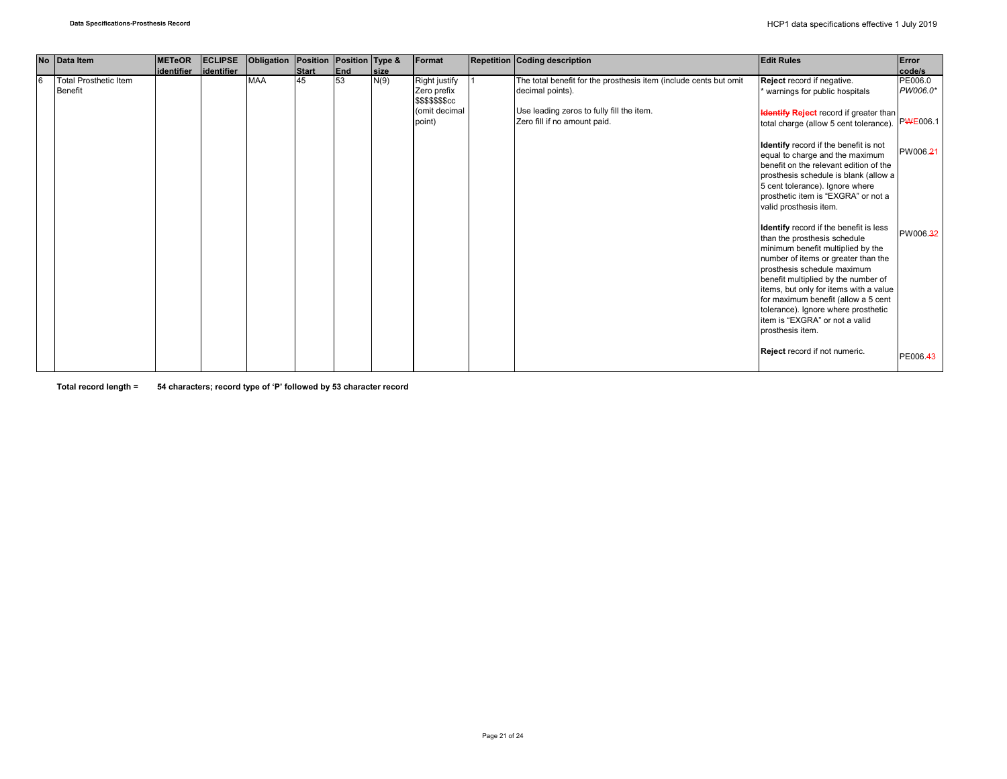|   | No Data Item                 | <b>METeOR</b> | <b>ECLIPSE</b> | Obligation | Position Position Type & |     |             | Format                                 | Repetition Coding description                                             | <b>Edit Rules</b>                             | Error    |
|---|------------------------------|---------------|----------------|------------|--------------------------|-----|-------------|----------------------------------------|---------------------------------------------------------------------------|-----------------------------------------------|----------|
|   |                              | lidentifier   | lidentifier    |            | Start                    | End | <b>Size</b> |                                        |                                                                           |                                               | code/s   |
| 6 | <b>Total Prosthetic Item</b> |               |                | <b>MAA</b> | 45                       | 53  | N(9)        | Right justify                          | The total benefit for the prosthesis item (include cents but omit         | Reject record if negative.                    | PE006.0  |
|   | <b>Benefit</b>               |               |                |            |                          |     |             | Zero prefix<br><b>\$\$\$\$\$\$\$cc</b> | decimal points).                                                          | warnings for public hospitals                 | PW006.0* |
|   |                              |               |                |            |                          |     |             | (omit decimal<br>point)                | Use leading zeros to fully fill the item.<br>Zero fill if no amount paid. | <b>Identify Reject</b> record if greater than | PWE006.1 |
|   |                              |               |                |            |                          |     |             |                                        |                                                                           | total charge (allow 5 cent tolerance).        |          |
|   |                              |               |                |            |                          |     |             |                                        |                                                                           | Identify record if the benefit is not         |          |
|   |                              |               |                |            |                          |     |             |                                        |                                                                           | equal to charge and the maximum               | PW006.21 |
|   |                              |               |                |            |                          |     |             |                                        |                                                                           | benefit on the relevant edition of the        |          |
|   |                              |               |                |            |                          |     |             |                                        |                                                                           | prosthesis schedule is blank (allow a         |          |
|   |                              |               |                |            |                          |     |             |                                        |                                                                           | 5 cent tolerance). Ignore where               |          |
|   |                              |               |                |            |                          |     |             |                                        |                                                                           | prosthetic item is "EXGRA" or not a           |          |
|   |                              |               |                |            |                          |     |             |                                        |                                                                           | valid prosthesis item.                        |          |
|   |                              |               |                |            |                          |     |             |                                        |                                                                           |                                               |          |
|   |                              |               |                |            |                          |     |             |                                        |                                                                           | Identify record if the benefit is less        |          |
|   |                              |               |                |            |                          |     |             |                                        |                                                                           | than the prosthesis schedule                  | PW006.32 |
|   |                              |               |                |            |                          |     |             |                                        |                                                                           | minimum benefit multiplied by the             |          |
|   |                              |               |                |            |                          |     |             |                                        |                                                                           | number of items or greater than the           |          |
|   |                              |               |                |            |                          |     |             |                                        |                                                                           | prosthesis schedule maximum                   |          |
|   |                              |               |                |            |                          |     |             |                                        |                                                                           |                                               |          |
|   |                              |               |                |            |                          |     |             |                                        |                                                                           | benefit multiplied by the number of           |          |
|   |                              |               |                |            |                          |     |             |                                        |                                                                           | items, but only for items with a value        |          |
|   |                              |               |                |            |                          |     |             |                                        |                                                                           | for maximum benefit (allow a 5 cent           |          |
|   |                              |               |                |            |                          |     |             |                                        |                                                                           | tolerance). Ignore where prosthetic           |          |
|   |                              |               |                |            |                          |     |             |                                        |                                                                           | item is "EXGRA" or not a valid                |          |
|   |                              |               |                |            |                          |     |             |                                        |                                                                           | prosthesis item.                              |          |
|   |                              |               |                |            |                          |     |             |                                        |                                                                           | Reject record if not numeric.                 | PE006.43 |

**Total record length = 54 characters; record type of 'P' followed by 53 character record**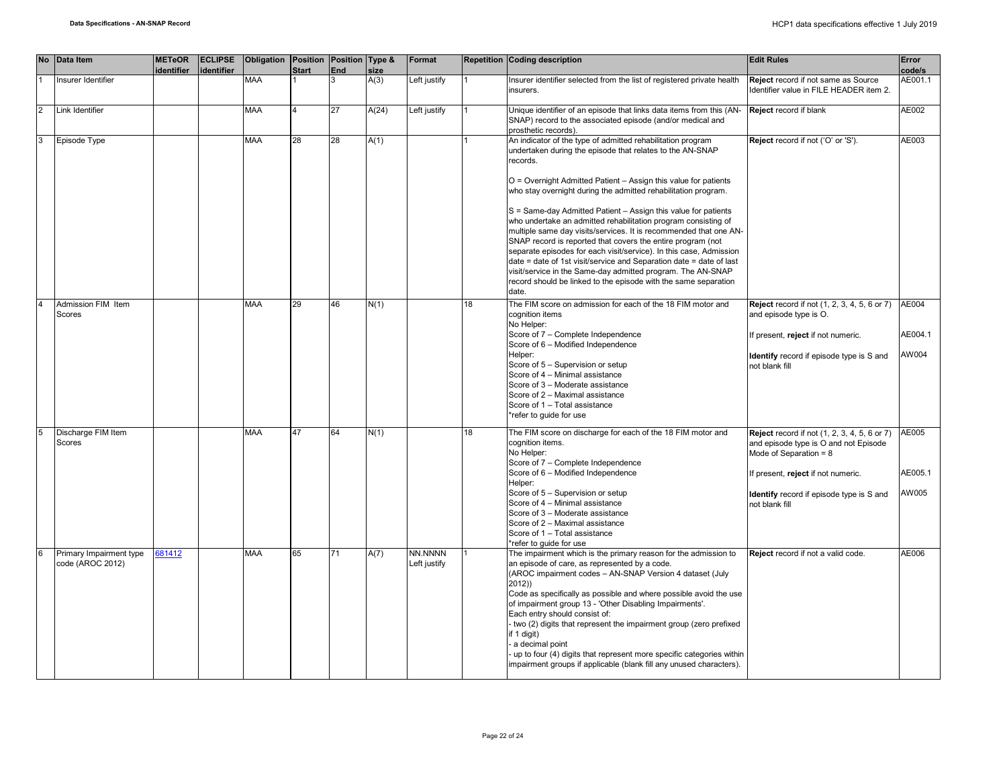|                | No Data Item                                | <b>METeOR</b><br>identifier | <b>ECLIPSE</b><br>identifier | Obligation Position Position Type & | <b>Start</b> | End | size  | Format                  |                 | Repetition Coding description                                                                                                                                                                                                                                                                                                                                                                                                                                                                                                                                                                                                                                                                                                                                                                                                             | <b>Edit Rules</b>                                                                                                                                                                                                            | Error<br>code/s           |
|----------------|---------------------------------------------|-----------------------------|------------------------------|-------------------------------------|--------------|-----|-------|-------------------------|-----------------|-------------------------------------------------------------------------------------------------------------------------------------------------------------------------------------------------------------------------------------------------------------------------------------------------------------------------------------------------------------------------------------------------------------------------------------------------------------------------------------------------------------------------------------------------------------------------------------------------------------------------------------------------------------------------------------------------------------------------------------------------------------------------------------------------------------------------------------------|------------------------------------------------------------------------------------------------------------------------------------------------------------------------------------------------------------------------------|---------------------------|
|                | Insurer Identifier                          |                             |                              | <b>MAA</b>                          |              |     | A(3)  | Left justify            |                 | nsurer identifier selected from the list of registered private health<br>insurers.                                                                                                                                                                                                                                                                                                                                                                                                                                                                                                                                                                                                                                                                                                                                                        | Reject record if not same as Source<br>Identifier value in FILE HEADER item 2.                                                                                                                                               | AE001.1                   |
| 2              | Link Identifier                             |                             |                              | <b>MAA</b>                          |              | 27  | A(24) | Left justify            |                 | Unique identifier of an episode that links data items from this (AN-<br>SNAP) record to the associated episode (and/or medical and<br>prosthetic records).                                                                                                                                                                                                                                                                                                                                                                                                                                                                                                                                                                                                                                                                                | Reject record if blank                                                                                                                                                                                                       | AE002                     |
| 3              | Episode Type                                |                             |                              | <b>MAA</b>                          | 28           | 28  | A(1)  |                         |                 | An indicator of the type of admitted rehabilitation program<br>undertaken during the episode that relates to the AN-SNAP<br>records.<br>O = Overnight Admitted Patient - Assign this value for patients<br>who stay overnight during the admitted rehabilitation program.<br>S = Same-day Admitted Patient - Assign this value for patients<br>who undertake an admitted rehabilitation program consisting of<br>multiple same day visits/services. It is recommended that one AN-<br>SNAP record is reported that covers the entire program (not<br>separate episodes for each visit/service). In this case, Admission<br>date = date of 1st visit/service and Separation date = date of last<br>visit/service in the Same-day admitted program. The AN-SNAP<br>record should be linked to the episode with the same separation<br>date. | Reject record if not ('O' or 'S').                                                                                                                                                                                           | AE003                     |
|                | Admission FIM Item<br>Scores                |                             |                              | <b>MAA</b>                          | 29           | 46  | N(1)  |                         | 18              | The FIM score on admission for each of the 18 FIM motor and<br>cognition items<br>No Helper:<br>Score of 7 - Complete Independence<br>Score of 6 - Modified Independence<br>Helper:<br>Score of 5 - Supervision or setup<br>Score of 4 - Minimal assistance<br>Score of 3 - Moderate assistance<br>Score of 2 - Maximal assistance<br>Score of 1 - Total assistance<br>refer to guide for use                                                                                                                                                                                                                                                                                                                                                                                                                                             | <b>Reject</b> record if not (1, 2, 3, 4, 5, 6 or 7)<br>and episode type is O.<br>If present, reject if not numeric.<br>Identify record if episode type is S and<br>not blank fill                                            | AE004<br>AE004.1<br>AW004 |
| $\overline{5}$ | Discharge FIM Item<br><b>Scores</b>         |                             |                              | <b>MAA</b>                          | 47           | 64  | N(1)  |                         | $\overline{18}$ | The FIM score on discharge for each of the 18 FIM motor and<br>cognition items.<br>No Helper:<br>Score of 7 - Complete Independence<br>Score of 6 - Modified Independence<br>Helper:<br>Score of 5 - Supervision or setup<br>Score of 4 - Minimal assistance<br>Score of 3 - Moderate assistance<br>Score of 2 - Maximal assistance<br>Score of 1 - Total assistance<br>refer to quide for use                                                                                                                                                                                                                                                                                                                                                                                                                                            | <b>Reject</b> record if not (1, 2, 3, 4, 5, 6 or 7)<br>and episode type is O and not Episode<br>Mode of Separation = $8$<br>If present, reject if not numeric.<br>Identify record if episode type is S and<br>not blank fill | AE005<br>AE005.1<br>AW005 |
| 6              | Primary Impairment type<br>code (AROC 2012) | 81412                       |                              | <b>MAA</b>                          | 65           | 71  | A(7)  | NN.NNNN<br>Left justify |                 | The impairment which is the primary reason for the admission to<br>an episode of care, as represented by a code.<br>(AROC impairment codes - AN-SNAP Version 4 dataset (July<br>2012)<br>Code as specifically as possible and where possible avoid the use<br>of impairment group 13 - 'Other Disabling Impairments'.<br>Each entry should consist of:<br>- two (2) digits that represent the impairment group (zero prefixed<br>if 1 digit)<br>a decimal point<br>up to four (4) digits that represent more specific categories within<br>impairment groups if applicable (blank fill any unused characters).                                                                                                                                                                                                                            | Reject record if not a valid code.                                                                                                                                                                                           | AE006                     |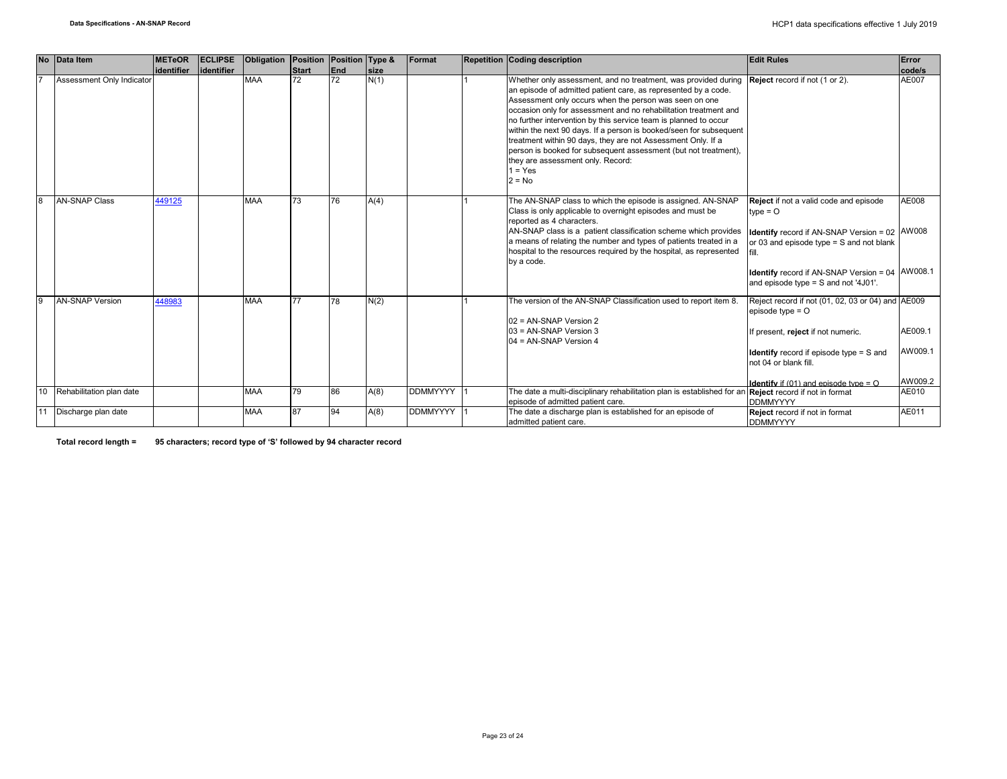|              | No Data Item              | <b>METeOR</b> | <b>ECLIPSE</b> | Obligation | <b>Position</b> | Position Type & |             | Format          | <b>Repetition Coding description</b>                                                                                                                                                                                                                                                                                                                                                                                                                                                                                                                                                                      | <b>Edit Rules</b>                                                                                                                                                                                                                                          | Error                         |
|--------------|---------------------------|---------------|----------------|------------|-----------------|-----------------|-------------|-----------------|-----------------------------------------------------------------------------------------------------------------------------------------------------------------------------------------------------------------------------------------------------------------------------------------------------------------------------------------------------------------------------------------------------------------------------------------------------------------------------------------------------------------------------------------------------------------------------------------------------------|------------------------------------------------------------------------------------------------------------------------------------------------------------------------------------------------------------------------------------------------------------|-------------------------------|
|              |                           | identifier    | lidentifier    |            | <b>Start</b>    | <b>End</b>      | <b>Size</b> |                 |                                                                                                                                                                                                                                                                                                                                                                                                                                                                                                                                                                                                           |                                                                                                                                                                                                                                                            | code/s                        |
|              | Assessment Only Indicator |               |                | <b>MAA</b> | 72              | 72              | N(1)        |                 | Whether only assessment, and no treatment, was provided during<br>an episode of admitted patient care, as represented by a code.<br>Assessment only occurs when the person was seen on one<br>occasion only for assessment and no rehabilitation treatment and<br>no further intervention by this service team is planned to occur<br>within the next 90 days. If a person is booked/seen for subsequent<br>treatment within 90 days, they are not Assessment Only. If a<br>person is booked for subsequent assessment (but not treatment),<br>they are assessment only. Record:<br>$1 = Yes$<br>$2 = No$ | Reject record if not (1 or 2).                                                                                                                                                                                                                             | AE007                         |
| 8            | <b>AN-SNAP Class</b>      | 449125        |                | <b>MAA</b> | 73              | 76              | A(4)        |                 | The AN-SNAP class to which the episode is assigned. AN-SNAP<br>Class is only applicable to overnight episodes and must be<br>reported as 4 characters.<br>AN-SNAP class is a patient classification scheme which provides<br>a means of relating the number and types of patients treated in a<br>hospital to the resources required by the hospital, as represented<br>by a code.                                                                                                                                                                                                                        | Reject if not a valid code and episode<br>$type = O$<br><b>Identify</b> record if AN-SNAP Version = 02 AW008<br>or 03 and episode type = S and not blank<br><b>Identify</b> record if AN-SNAP Version = 04 AW008.1<br>and episode type = S and not '4J01'. | AE008                         |
| $\mathbf{Q}$ | <b>AN-SNAP Version</b>    | 448983        |                | <b>MAA</b> | 77              | 78              | N(2)        |                 | The version of the AN-SNAP Classification used to report item 8.<br>02 = AN-SNAP Version 2<br>03 = AN-SNAP Version 3<br>$04 = AN-SNAP Version 4$                                                                                                                                                                                                                                                                                                                                                                                                                                                          | Reject record if not (01, 02, 03 or 04) and AE009<br>episode type $=$ $\circ$<br>If present, reject if not numeric.<br><b>Identify</b> record if episode type = S and<br>not 04 or blank fill.<br><b>Identify</b> if $(01)$ and episode type = $O$         | AE009.1<br>AW009.1<br>AW009.2 |
| 10           | Rehabilitation plan date  |               |                | <b>MAA</b> | 79              | 86              | A(8)        | <b>DDMMYYYY</b> | The date a multi-disciplinary rehabilitation plan is established for an Reject record if not in format                                                                                                                                                                                                                                                                                                                                                                                                                                                                                                    |                                                                                                                                                                                                                                                            | AE010                         |
|              |                           |               |                |            |                 |                 |             |                 | episode of admitted patient care.                                                                                                                                                                                                                                                                                                                                                                                                                                                                                                                                                                         | <b>DDMMYYYY</b>                                                                                                                                                                                                                                            |                               |
|              | 11 Discharge plan date    |               |                | <b>MAA</b> | 87              | 94              | A(8)        | <b>DDMMYYYY</b> | The date a discharge plan is established for an episode of<br>admitted patient care.                                                                                                                                                                                                                                                                                                                                                                                                                                                                                                                      | Reject record if not in format<br><b>DDMMYYYY</b>                                                                                                                                                                                                          | AE011                         |

**Total record length = 95 characters; record type of 'S' followed by 94 character record**